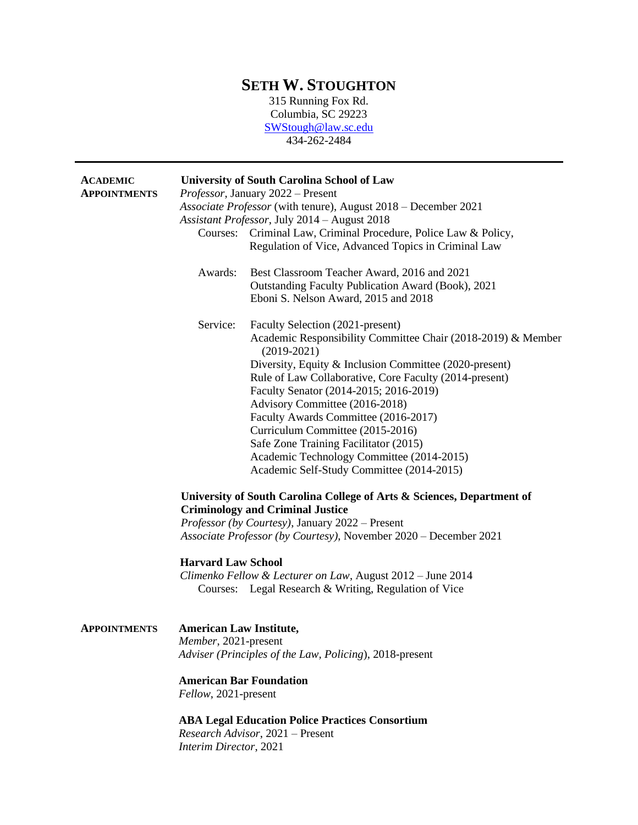## **SETH W. STOUGHTON**

315 Running Fox Rd. Columbia, SC 29223 [SWStough@law.sc.edu](mailto:SWStough@law.sc.edu) 434-262-2484

|                                                                                                                  | <b>University of South Carolina School of Law</b><br>Professor, January 2022 - Present<br>Associate Professor (with tenure), August 2018 - December 2021<br>Assistant Professor, July 2014 - August 2018<br>Courses: Criminal Law, Criminal Procedure, Police Law & Policy,<br>Regulation of Vice, Advanced Topics in Criminal Law                                                                                                                                                                                                                                                                                                                                                                                                                                           |
|------------------------------------------------------------------------------------------------------------------|------------------------------------------------------------------------------------------------------------------------------------------------------------------------------------------------------------------------------------------------------------------------------------------------------------------------------------------------------------------------------------------------------------------------------------------------------------------------------------------------------------------------------------------------------------------------------------------------------------------------------------------------------------------------------------------------------------------------------------------------------------------------------|
| Awards:                                                                                                          | Best Classroom Teacher Award, 2016 and 2021<br>Outstanding Faculty Publication Award (Book), 2021<br>Eboni S. Nelson Award, 2015 and 2018                                                                                                                                                                                                                                                                                                                                                                                                                                                                                                                                                                                                                                    |
| Service:                                                                                                         | Faculty Selection (2021-present)<br>Academic Responsibility Committee Chair (2018-2019) & Member<br>$(2019-2021)$<br>Diversity, Equity & Inclusion Committee (2020-present)<br>Rule of Law Collaborative, Core Faculty (2014-present)<br>Faculty Senator (2014-2015; 2016-2019)<br>Advisory Committee (2016-2018)<br>Faculty Awards Committee (2016-2017)<br>Curriculum Committee (2015-2016)<br>Safe Zone Training Facilitator (2015)<br>Academic Technology Committee (2014-2015)<br>Academic Self-Study Committee (2014-2015)<br>University of South Carolina College of Arts & Sciences, Department of<br><b>Criminology and Criminal Justice</b><br>Professor (by Courtesy), January 2022 - Present<br>Associate Professor (by Courtesy), November 2020 – December 2021 |
| <b>Harvard Law School</b>                                                                                        | Climenko Fellow & Lecturer on Law, August 2012 - June 2014<br>Courses: Legal Research & Writing, Regulation of Vice                                                                                                                                                                                                                                                                                                                                                                                                                                                                                                                                                                                                                                                          |
| <b>American Law Institute,</b><br>Member, 2021-present<br><b>American Bar Foundation</b><br>Fellow, 2021-present | Adviser (Principles of the Law, Policing), 2018-present<br><b>ABA Legal Education Police Practices Consortium</b><br>Research Advisor, 2021 - Present                                                                                                                                                                                                                                                                                                                                                                                                                                                                                                                                                                                                                        |
|                                                                                                                  | Interim Director, 2021                                                                                                                                                                                                                                                                                                                                                                                                                                                                                                                                                                                                                                                                                                                                                       |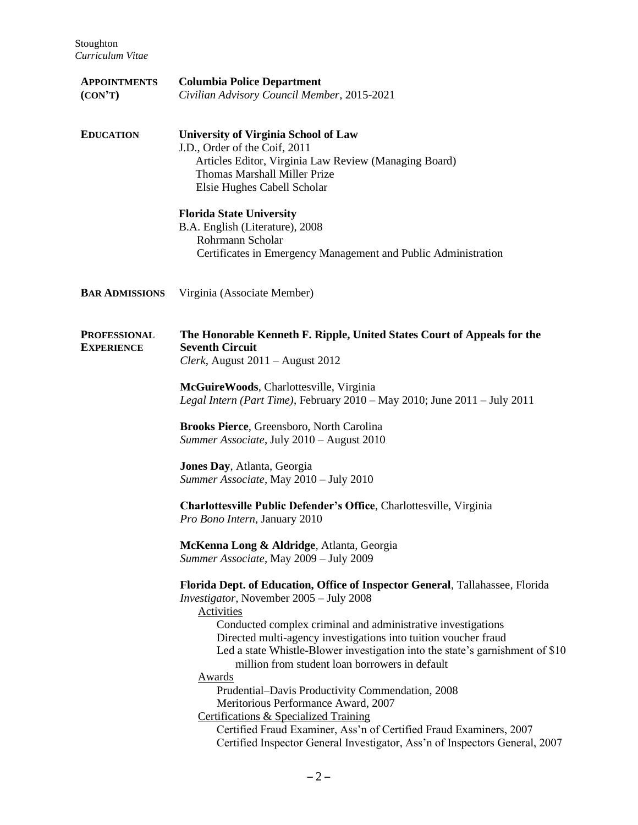| <b>APPOINTMENTS</b><br>(CON'T)           | <b>Columbia Police Department</b><br>Civilian Advisory Council Member, 2015-2021                                                                                                                                                                                                                                                                                                                                                                                                                                                                                                                                                                                                                                                         |
|------------------------------------------|------------------------------------------------------------------------------------------------------------------------------------------------------------------------------------------------------------------------------------------------------------------------------------------------------------------------------------------------------------------------------------------------------------------------------------------------------------------------------------------------------------------------------------------------------------------------------------------------------------------------------------------------------------------------------------------------------------------------------------------|
| <b>EDUCATION</b>                         | <b>University of Virginia School of Law</b><br>J.D., Order of the Coif, 2011<br>Articles Editor, Virginia Law Review (Managing Board)<br><b>Thomas Marshall Miller Prize</b><br>Elsie Hughes Cabell Scholar                                                                                                                                                                                                                                                                                                                                                                                                                                                                                                                              |
|                                          | <b>Florida State University</b><br>B.A. English (Literature), 2008<br>Rohrmann Scholar<br>Certificates in Emergency Management and Public Administration                                                                                                                                                                                                                                                                                                                                                                                                                                                                                                                                                                                 |
| <b>BAR ADMISSIONS</b>                    | Virginia (Associate Member)                                                                                                                                                                                                                                                                                                                                                                                                                                                                                                                                                                                                                                                                                                              |
| <b>PROFESSIONAL</b><br><b>EXPERIENCE</b> | The Honorable Kenneth F. Ripple, United States Court of Appeals for the<br><b>Seventh Circuit</b><br>Clerk, August 2011 – August 2012                                                                                                                                                                                                                                                                                                                                                                                                                                                                                                                                                                                                    |
|                                          | McGuireWoods, Charlottesville, Virginia<br>Legal Intern (Part Time), February $2010 - May 2010$ ; June $2011 - July 2011$                                                                                                                                                                                                                                                                                                                                                                                                                                                                                                                                                                                                                |
|                                          | Brooks Pierce, Greensboro, North Carolina<br>Summer Associate, July 2010 - August 2010                                                                                                                                                                                                                                                                                                                                                                                                                                                                                                                                                                                                                                                   |
|                                          | Jones Day, Atlanta, Georgia<br>Summer Associate, May 2010 - July 2010                                                                                                                                                                                                                                                                                                                                                                                                                                                                                                                                                                                                                                                                    |
|                                          | Charlottesville Public Defender's Office, Charlottesville, Virginia<br>Pro Bono Intern, January 2010                                                                                                                                                                                                                                                                                                                                                                                                                                                                                                                                                                                                                                     |
|                                          | McKenna Long & Aldridge, Atlanta, Georgia<br>Summer Associate, May 2009 - July 2009                                                                                                                                                                                                                                                                                                                                                                                                                                                                                                                                                                                                                                                      |
|                                          | Florida Dept. of Education, Office of Inspector General, Tallahassee, Florida<br>Investigator, November 2005 - July 2008<br><b>Activities</b><br>Conducted complex criminal and administrative investigations<br>Directed multi-agency investigations into tuition voucher fraud<br>Led a state Whistle-Blower investigation into the state's garnishment of \$10<br>million from student loan borrowers in default<br><b>Awards</b><br>Prudential-Davis Productivity Commendation, 2008<br>Meritorious Performance Award, 2007<br><b>Certifications &amp; Specialized Training</b><br>Certified Fraud Examiner, Ass'n of Certified Fraud Examiners, 2007<br>Certified Inspector General Investigator, Ass'n of Inspectors General, 2007 |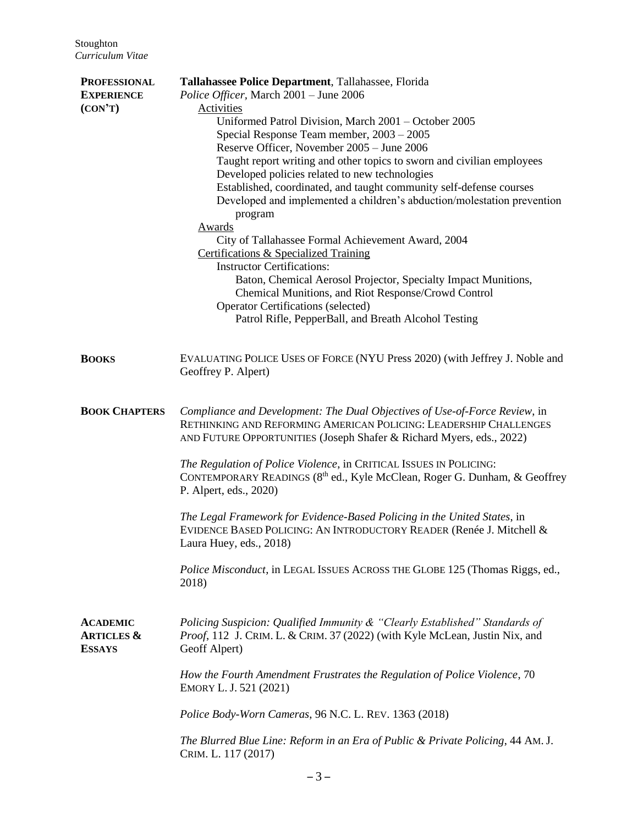| <b>PROFESSIONAL</b><br><b>EXPERIENCE</b><br>(CON'T)       | Tallahassee Police Department, Tallahassee, Florida<br>Police Officer, March 2001 - June 2006<br>Activities<br>Uniformed Patrol Division, March 2001 - October 2005<br>Special Response Team member, 2003 - 2005<br>Reserve Officer, November 2005 - June 2006<br>Taught report writing and other topics to sworn and civilian employees<br>Developed policies related to new technologies<br>Established, coordinated, and taught community self-defense courses<br>Developed and implemented a children's abduction/molestation prevention<br>program<br>Awards<br>City of Tallahassee Formal Achievement Award, 2004 |
|-----------------------------------------------------------|-------------------------------------------------------------------------------------------------------------------------------------------------------------------------------------------------------------------------------------------------------------------------------------------------------------------------------------------------------------------------------------------------------------------------------------------------------------------------------------------------------------------------------------------------------------------------------------------------------------------------|
|                                                           | <b>Certifications &amp; Specialized Training</b><br><b>Instructor Certifications:</b><br>Baton, Chemical Aerosol Projector, Specialty Impact Munitions,<br>Chemical Munitions, and Riot Response/Crowd Control<br><b>Operator Certifications (selected)</b><br>Patrol Rifle, PepperBall, and Breath Alcohol Testing                                                                                                                                                                                                                                                                                                     |
| <b>BOOKS</b>                                              | EVALUATING POLICE USES OF FORCE (NYU Press 2020) (with Jeffrey J. Noble and<br>Geoffrey P. Alpert)                                                                                                                                                                                                                                                                                                                                                                                                                                                                                                                      |
| <b>BOOK CHAPTERS</b>                                      | Compliance and Development: The Dual Objectives of Use-of-Force Review, in<br>RETHINKING AND REFORMING AMERICAN POLICING: LEADERSHIP CHALLENGES<br>AND FUTURE OPPORTUNITIES (Joseph Shafer & Richard Myers, eds., 2022)                                                                                                                                                                                                                                                                                                                                                                                                 |
|                                                           | The Regulation of Police Violence, in CRITICAL ISSUES IN POLICING:<br>CONTEMPORARY READINGS (8 <sup>th</sup> ed., Kyle McClean, Roger G. Dunham, & Geoffrey<br>P. Alpert, eds., 2020)                                                                                                                                                                                                                                                                                                                                                                                                                                   |
|                                                           | The Legal Framework for Evidence-Based Policing in the United States, in<br>EVIDENCE BASED POLICING: AN INTRODUCTORY READER (Renée J. Mitchell &<br>Laura Huey, eds., 2018)                                                                                                                                                                                                                                                                                                                                                                                                                                             |
|                                                           | Police Misconduct, in LEGAL ISSUES ACROSS THE GLOBE 125 (Thomas Riggs, ed.,<br>2018)                                                                                                                                                                                                                                                                                                                                                                                                                                                                                                                                    |
| <b>ACADEMIC</b><br><b>ARTICLES &amp;</b><br><b>ESSAYS</b> | Policing Suspicion: Qualified Immunity & "Clearly Established" Standards of<br>Proof, 112 J. CRIM. L. & CRIM. 37 (2022) (with Kyle McLean, Justin Nix, and<br>Geoff Alpert)                                                                                                                                                                                                                                                                                                                                                                                                                                             |
|                                                           | How the Fourth Amendment Frustrates the Regulation of Police Violence, 70<br>EMORY L. J. 521 (2021)                                                                                                                                                                                                                                                                                                                                                                                                                                                                                                                     |
|                                                           | Police Body-Worn Cameras, 96 N.C. L. REV. 1363 (2018)                                                                                                                                                                                                                                                                                                                                                                                                                                                                                                                                                                   |
|                                                           | The Blurred Blue Line: Reform in an Era of Public & Private Policing, 44 AM. J.<br>CRIM. L. 117 (2017)                                                                                                                                                                                                                                                                                                                                                                                                                                                                                                                  |
|                                                           |                                                                                                                                                                                                                                                                                                                                                                                                                                                                                                                                                                                                                         |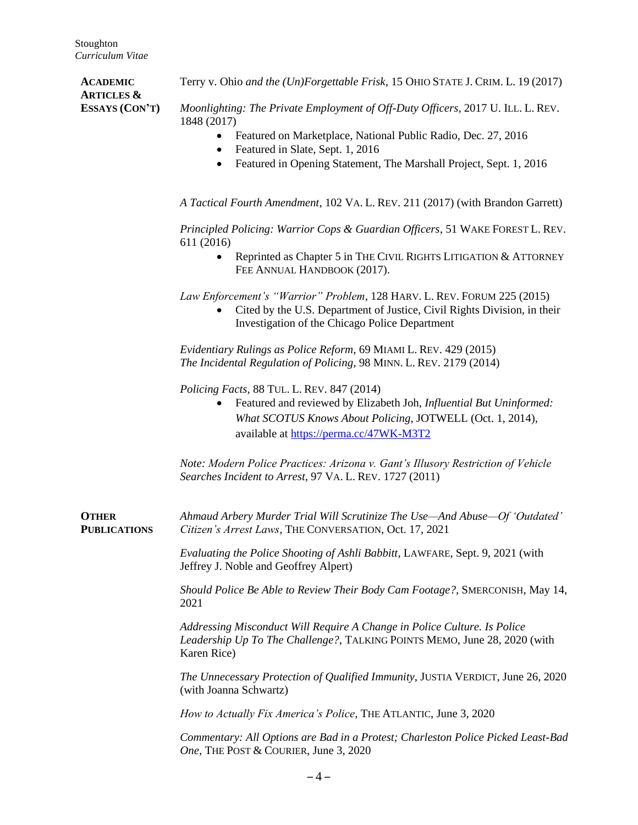Terry v. Ohio *and the (Un)Forgettable Frisk*, 15 OHIO STATE J. CRIM. L. 19 (2017)

*6B***ACADEMIC ARTICLES & ESSAYS (CON'T)**

*Moonlighting: The Private Employment of Off-Duty Officers*, 2017 U. ILL. L. REV. 1848 (2017)

- Featured on Marketplace, National Public Radio, Dec. 27, 2016
- Featured in Slate, Sept. 1, 2016
- Featured in Opening Statement, The Marshall Project, Sept. 1, 2016

*A Tactical Fourth Amendment*, 102 VA. L. REV. 211 (2017) (with Brandon Garrett)

*Principled Policing: Warrior Cops & Guardian Officers*, 51 WAKE FOREST L. REV. 611 (2016)

• Reprinted as Chapter 5 in THE CIVIL RIGHTS LITIGATION & ATTORNEY FEE ANNUAL HANDBOOK (2017).

*Law Enforcement's "Warrior" Problem*, 128 HARV. L. REV. FORUM 225 (2015)

• Cited by the U.S. Department of Justice, Civil Rights Division, in their Investigation of the Chicago Police Department

*Evidentiary Rulings as Police Reform*, 69 MIAMI L. REV. 429 (2015) *The Incidental Regulation of Policing*, 98 MINN. L. REV. 2179 (2014)

*Policing Facts*, 88 TUL. L. REV. 847 (2014)

• Featured and reviewed by Elizabeth Joh, *Influential But Uninformed: What SCOTUS Knows About Policing*, JOTWELL (Oct. 1, 2014), available at<https://perma.cc/47WK-M3T2>

*Note: Modern Police Practices: Arizona v. Gant's Illusory Restriction of Vehicle Searches Incident to Arrest*, 97 VA. L. REV. 1727 (2011)

*7B***OTHER PUBLICATIONS** *Ahmaud Arbery Murder Trial Will Scrutinize The Use—And Abuse—Of 'Outdated' Citizen's Arrest Laws*, THE CONVERSATION, Oct. 17, 2021

> *Evaluating the Police Shooting of Ashli Babbitt*, LAWFARE, Sept. 9, 2021 (with Jeffrey J. Noble and Geoffrey Alpert)

*Should Police Be Able to Review Their Body Cam Footage?*, SMERCONISH, May 14, 2021

*Addressing Misconduct Will Require A Change in Police Culture. Is Police Leadership Up To The Challenge?*, TALKING POINTS MEMO, June 28, 2020 (with Karen Rice)

*The Unnecessary Protection of Qualified Immunity*, JUSTIA VERDICT, June 26, 2020 (with Joanna Schwartz)

*How to Actually Fix America's Police*, THE ATLANTIC, June 3, 2020

*Commentary: All Options are Bad in a Protest; Charleston Police Picked Least-Bad One*, THE POST & COURIER, June 3, 2020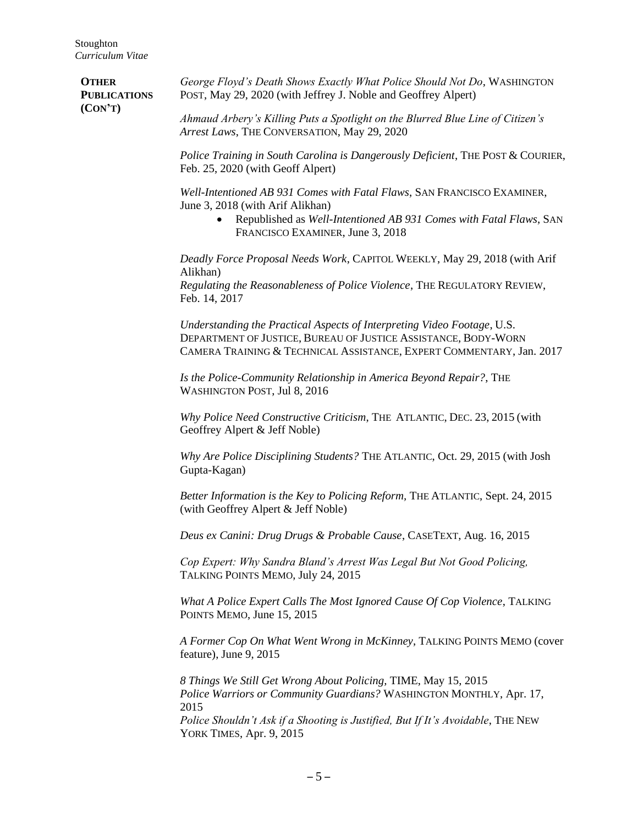**OTHER PUBLICATIONS (CON'T)** *George Floyd's Death Shows Exactly What Police Should Not Do*, WASHINGTON POST, May 29, 2020 (with Jeffrey J. Noble and Geoffrey Alpert)

Feb. 14, 2017

*Ahmaud Arbery's Killing Puts a Spotlight on the Blurred Blue Line of Citizen's Arrest Laws*, THE CONVERSATION, May 29, 2020

*Police Training in South Carolina is Dangerously Deficient*, THE POST & COURIER, Feb. 25, 2020 (with Geoff Alpert)

*Well-Intentioned AB 931 Comes with Fatal Flaws*, SAN FRANCISCO EXAMINER, June 3, 2018 (with Arif Alikhan)

> • Republished as *Well-Intentioned AB 931 Comes with Fatal Flaws*, SAN FRANCISCO EXAMINER, June 3, 2018

*Deadly Force Proposal Needs Work*, CAPITOL WEEKLY, May 29, 2018 (with Arif Alikhan) *Regulating the Reasonableness of Police Violence*, THE REGULATORY REVIEW,

*Understanding the Practical Aspects of Interpreting Video Footage*, U.S. DEPARTMENT OF JUSTICE, BUREAU OF JUSTICE ASSISTANCE, BODY-WORN CAMERA TRAINING & TECHNICAL ASSISTANCE, EXPERT COMMENTARY, Jan. 2017

*Is the Police-Community Relationship in America Beyond Repair?*, THE WASHINGTON POST, Jul 8, 2016

*Why Police Need Constructive Criticism*, THE ATLANTIC, DEC. 23, 2015 (with Geoffrey Alpert & Jeff Noble)

*Why Are Police Disciplining Students?* THE ATLANTIC, Oct. 29, 2015 (with Josh Gupta-Kagan)

*Better Information is the Key to Policing Reform, THE ATLANTIC, Sept. 24, 2015* (with Geoffrey Alpert & Jeff Noble)

*Deus ex Canini: Drug Drugs & Probable Cause*, CASETEXT, Aug. 16, 2015

*Cop Expert: Why Sandra Bland's Arrest Was Legal But Not Good Policing,*  TALKING POINTS MEMO, July 24, 2015

*What A Police Expert Calls The Most Ignored Cause Of Cop Violence*, TALKING POINTS MEMO, June 15, 2015

*A Former Cop On What Went Wrong in McKinney*, TALKING POINTS MEMO (cover feature), June 9, 2015

*8 Things We Still Get Wrong About Policing,* TIME, May 15, 2015 *Police Warriors or Community Guardians?* WASHINGTON MONTHLY, Apr. 17, 2015

*Police Shouldn't Ask if a Shooting is Justified, But If It's Avoidable*, THE NEW YORK TIMES, Apr. 9, 2015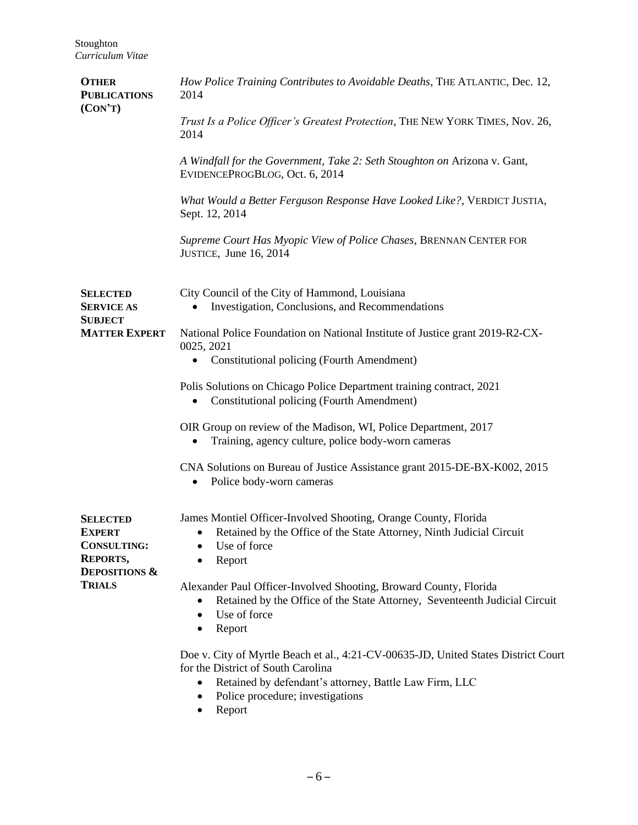| <b>OTHER</b><br><b>PUBLICATIONS</b><br>(CON'T)                                                                         | How Police Training Contributes to Avoidable Deaths, THE ATLANTIC, Dec. 12,<br>2014                                                                                                                                                 |
|------------------------------------------------------------------------------------------------------------------------|-------------------------------------------------------------------------------------------------------------------------------------------------------------------------------------------------------------------------------------|
|                                                                                                                        | Trust Is a Police Officer's Greatest Protection, THE NEW YORK TIMES, Nov. 26,<br>2014                                                                                                                                               |
|                                                                                                                        | A Windfall for the Government, Take 2: Seth Stoughton on Arizona v. Gant,<br>EVIDENCEPROGBLOG, Oct. 6, 2014                                                                                                                         |
|                                                                                                                        | What Would a Better Ferguson Response Have Looked Like?, VERDICT JUSTIA,<br>Sept. 12, 2014                                                                                                                                          |
|                                                                                                                        | Supreme Court Has Myopic View of Police Chases, BRENNAN CENTER FOR<br>JUSTICE, June 16, 2014                                                                                                                                        |
| <b>SELECTED</b><br><b>SERVICE AS</b><br><b>SUBJECT</b>                                                                 | City Council of the City of Hammond, Louisiana<br>Investigation, Conclusions, and Recommendations                                                                                                                                   |
| <b>MATTER EXPERT</b>                                                                                                   | National Police Foundation on National Institute of Justice grant 2019-R2-CX-<br>0025, 2021                                                                                                                                         |
|                                                                                                                        | Constitutional policing (Fourth Amendment)<br>$\bullet$                                                                                                                                                                             |
|                                                                                                                        | Polis Solutions on Chicago Police Department training contract, 2021<br>Constitutional policing (Fourth Amendment)                                                                                                                  |
|                                                                                                                        | OIR Group on review of the Madison, WI, Police Department, 2017<br>Training, agency culture, police body-worn cameras                                                                                                               |
|                                                                                                                        | CNA Solutions on Bureau of Justice Assistance grant 2015-DE-BX-K002, 2015<br>Police body-worn cameras                                                                                                                               |
| <b>SELECTED</b><br><b>EXPERT</b><br><b>CONSULTING:</b><br><b>REPORTS,</b><br><b>DEPOSITIONS &amp;</b><br><b>TRIALS</b> | James Montiel Officer-Involved Shooting, Orange County, Florida<br>Retained by the Office of the State Attorney, Ninth Judicial Circuit<br>$\bullet$<br>Use of force<br>Report                                                      |
|                                                                                                                        | Alexander Paul Officer-Involved Shooting, Broward County, Florida<br>Retained by the Office of the State Attorney, Seventeenth Judicial Circuit<br>$\bullet$<br>Use of force<br>$\bullet$<br>Report<br>٠                            |
|                                                                                                                        | Doe v. City of Myrtle Beach et al., 4:21-CV-00635-JD, United States District Court<br>for the District of South Carolina<br>Retained by defendant's attorney, Battle Law Firm, LLC<br>Police procedure; investigations<br>$\bullet$ |

• Report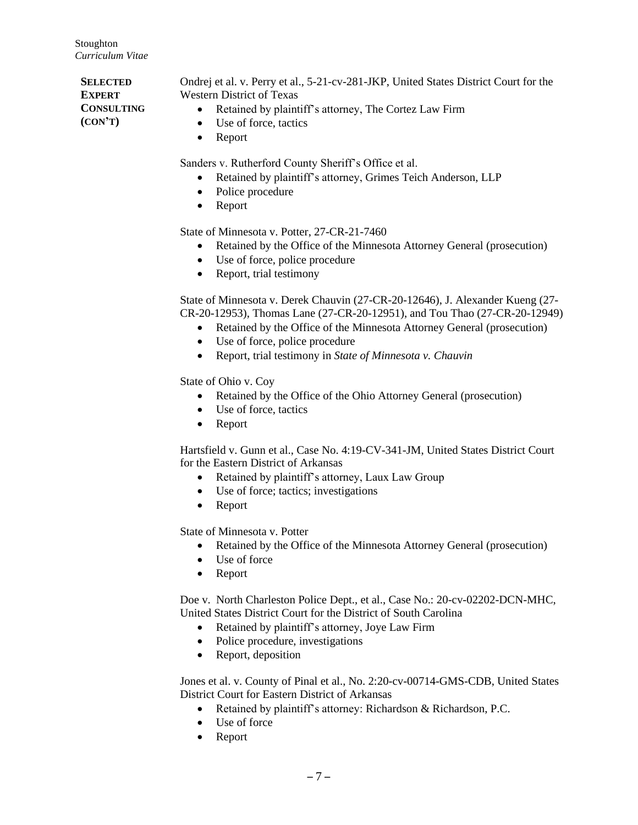**SELECTED EXPERT CONSULTING** *1B***(CON'T)** Ondrej et al. v. Perry et al., 5-21-cv-281-JKP, United States District Court for the Western District of Texas • Retained by plaintiff's attorney, The Cortez Law Firm • Use of force, tactics • Report

Sanders v. Rutherford County Sheriff's Office et al.

- Retained by plaintiff's attorney, Grimes Teich Anderson, LLP
- Police procedure
- Report

State of Minnesota v. Potter, 27-CR-21-7460

- Retained by the Office of the Minnesota Attorney General (prosecution)
- Use of force, police procedure
- Report, trial testimony

State of Minnesota v. Derek Chauvin (27-CR-20-12646), J. Alexander Kueng (27- CR-20-12953), Thomas Lane (27-CR-20-12951), and Tou Thao (27-CR-20-12949)

- Retained by the Office of the Minnesota Attorney General (prosecution)
- Use of force, police procedure
- Report, trial testimony in *State of Minnesota v. Chauvin*

State of Ohio v. Coy

- Retained by the Office of the Ohio Attorney General (prosecution)
- Use of force, tactics
- Report

Hartsfield v. Gunn et al., Case No. 4:19-CV-341-JM, United States District Court for the Eastern District of Arkansas

- Retained by plaintiff's attorney, Laux Law Group
- Use of force; tactics; investigations
- Report

State of Minnesota v. Potter

- Retained by the Office of the Minnesota Attorney General (prosecution)
- Use of force
- Report

Doe v. North Charleston Police Dept., et al., Case No.: 20-cv-02202-DCN-MHC, United States District Court for the District of South Carolina

- Retained by plaintiff's attorney, Joye Law Firm
- Police procedure, investigations
- Report, deposition

Jones et al. v. County of Pinal et al., No. 2:20-cv-00714-GMS-CDB, United States District Court for Eastern District of Arkansas

- Retained by plaintiff's attorney: Richardson & Richardson, P.C.
- Use of force
- Report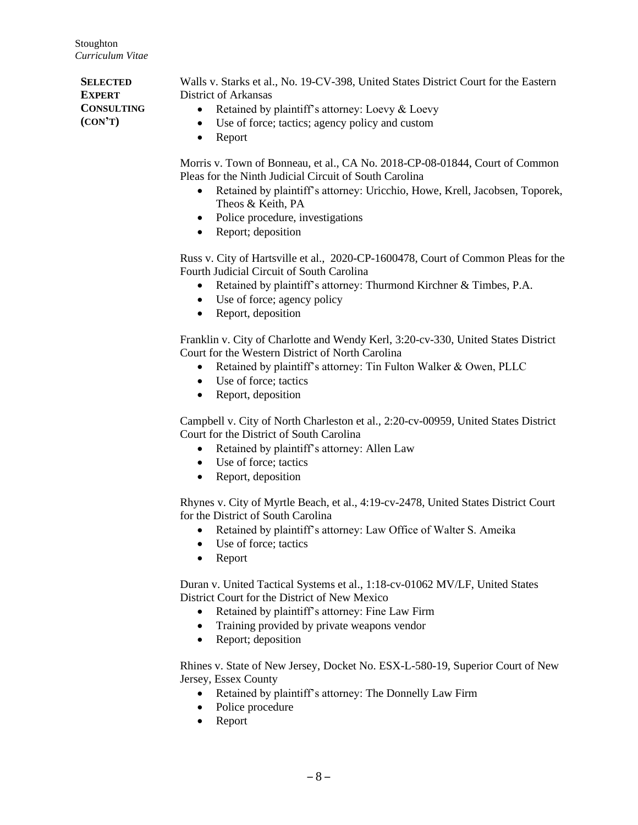*12B***SELECTED EXPERT CONSULTING (CON'T)**

Walls v. Starks et al., No. 19-CV-398, United States District Court for the Eastern District of Arkansas

- Retained by plaintiff's attorney: Loevy & Loevy
- Use of force; tactics; agency policy and custom
- Report

Morris v. Town of Bonneau, et al., CA No. 2018-CP-08-01844, Court of Common Pleas for the Ninth Judicial Circuit of South Carolina

- Retained by plaintiff's attorney: Uricchio, Howe, Krell, Jacobsen, Toporek, Theos & Keith, PA
- Police procedure, investigations
- Report; deposition

Russ v. City of Hartsville et al., 2020-CP-1600478, Court of Common Pleas for the Fourth Judicial Circuit of South Carolina

- Retained by plaintiff's attorney: Thurmond Kirchner & Timbes, P.A.
- Use of force; agency policy
- Report, deposition

Franklin v. City of Charlotte and Wendy Kerl, 3:20-cv-330, United States District Court for the Western District of North Carolina

- Retained by plaintiff's attorney: Tin Fulton Walker & Owen, PLLC
- Use of force; tactics
- Report, deposition

Campbell v. City of North Charleston et al., 2:20-cv-00959, United States District Court for the District of South Carolina

- Retained by plaintiff's attorney: Allen Law
- Use of force; tactics
- Report, deposition

Rhynes v. City of Myrtle Beach, et al., 4:19-cv-2478, United States District Court for the District of South Carolina

- Retained by plaintiff's attorney: Law Office of Walter S. Ameika
- Use of force; tactics
- Report

Duran v. United Tactical Systems et al., 1:18-cv-01062 MV/LF, United States District Court for the District of New Mexico

- Retained by plaintiff's attorney: Fine Law Firm
- Training provided by private weapons vendor
- Report; deposition

Rhines v. State of New Jersey, Docket No. ESX-L-580-19, Superior Court of New Jersey, Essex County

- Retained by plaintiff's attorney: The Donnelly Law Firm
- Police procedure
- Report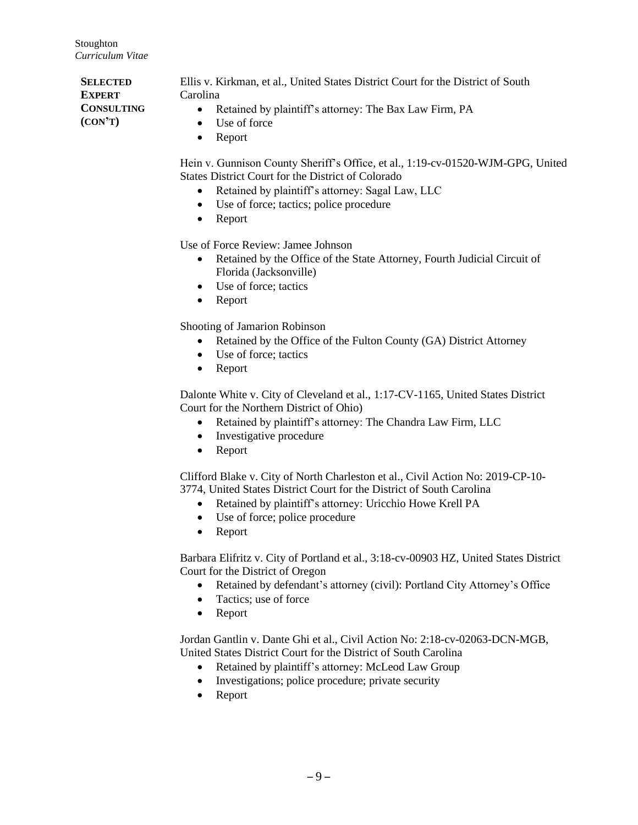*13B***SELECTED EXPERT CONSULTING (CON'T)** Ellis v. Kirkman, et al., United States District Court for the District of South Carolina • Retained by plaintiff's attorney: The Bax Law Firm, PA • Use of force • Report

- Hein v. Gunnison County Sheriff's Office, et al., 1:19-cv-01520-WJM-GPG, United States District Court for the District of Colorado
	- Retained by plaintiff's attorney: Sagal Law, LLC
	- Use of force; tactics; police procedure
	- Report

Use of Force Review: Jamee Johnson

- Retained by the Office of the State Attorney, Fourth Judicial Circuit of Florida (Jacksonville)
- Use of force: tactics
- Report

Shooting of Jamarion Robinson

- Retained by the Office of the Fulton County (GA) District Attorney
- Use of force; tactics
- Report

Dalonte White v. City of Cleveland et al., 1:17-CV-1165, United States District Court for the Northern District of Ohio)

- Retained by plaintiff's attorney: The Chandra Law Firm, LLC
- Investigative procedure
- Report

Clifford Blake v. City of North Charleston et al., Civil Action No: 2019-CP-10- 3774, United States District Court for the District of South Carolina

- Retained by plaintiff's attorney: Uricchio Howe Krell PA
- Use of force; police procedure
- Report

Barbara Elifritz v. City of Portland et al., 3:18-cv-00903 HZ, United States District Court for the District of Oregon

- Retained by defendant's attorney (civil): Portland City Attorney's Office
- Tactics; use of force
- Report

Jordan Gantlin v. Dante Ghi et al., Civil Action No: 2:18-cv-02063-DCN-MGB, United States District Court for the District of South Carolina

- Retained by plaintiff's attorney: McLeod Law Group
- Investigations; police procedure; private security
- Report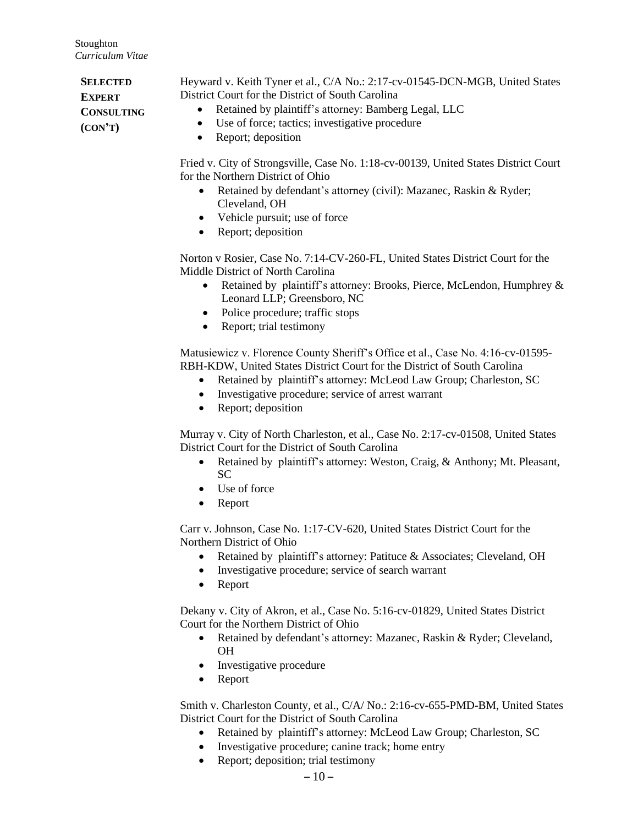**SELECTED EXPERT CONSULTING (CON'T)** Heyward v. Keith Tyner et al., C/A No.: 2:17-cv-01545-DCN-MGB, United States District Court for the District of South Carolina • Retained by plaintiff's attorney: Bamberg Legal, LLC • Use of force; tactics; investigative procedure • Report; deposition

> Fried v. City of Strongsville, Case No. 1:18-cv-00139, United States District Court for the Northern District of Ohio

- Retained by defendant's attorney (civil): Mazanec, Raskin & Ryder; Cleveland, OH
- Vehicle pursuit; use of force
- Report; deposition

Norton v Rosier, Case No. 7:14-CV-260-FL, United States District Court for the Middle District of North Carolina

- Retained by plaintiff's attorney: Brooks, Pierce, McLendon, Humphrey & Leonard LLP; Greensboro, NC
- Police procedure; traffic stops
- Report; trial testimony

Matusiewicz v. Florence County Sheriff's Office et al., Case No. 4:16-cv-01595- RBH-KDW, United States District Court for the District of South Carolina

- Retained by plaintiff's attorney: McLeod Law Group; Charleston, SC
- Investigative procedure; service of arrest warrant
- Report; deposition

Murray v. City of North Charleston, et al., Case No. 2:17-cv-01508, United States District Court for the District of South Carolina

- Retained by plaintiff's attorney: Weston, Craig, & Anthony; Mt. Pleasant, SC
- Use of force
- Report

Carr v. Johnson, Case No. 1:17-CV-620, United States District Court for the Northern District of Ohio

- Retained by plaintiff's attorney: Patituce & Associates; Cleveland, OH
- Investigative procedure; service of search warrant
- Report

Dekany v. City of Akron, et al., Case No. 5:16-cv-01829, United States District Court for the Northern District of Ohio

- Retained by defendant's attorney: Mazanec, Raskin & Ryder; Cleveland, OH
- Investigative procedure
- Report

Smith v. Charleston County, et al., C/A/ No.: 2:16-cv-655-PMD-BM, United States District Court for the District of South Carolina

- Retained by plaintiff's attorney: McLeod Law Group; Charleston, SC
- Investigative procedure; canine track; home entry
- Report; deposition; trial testimony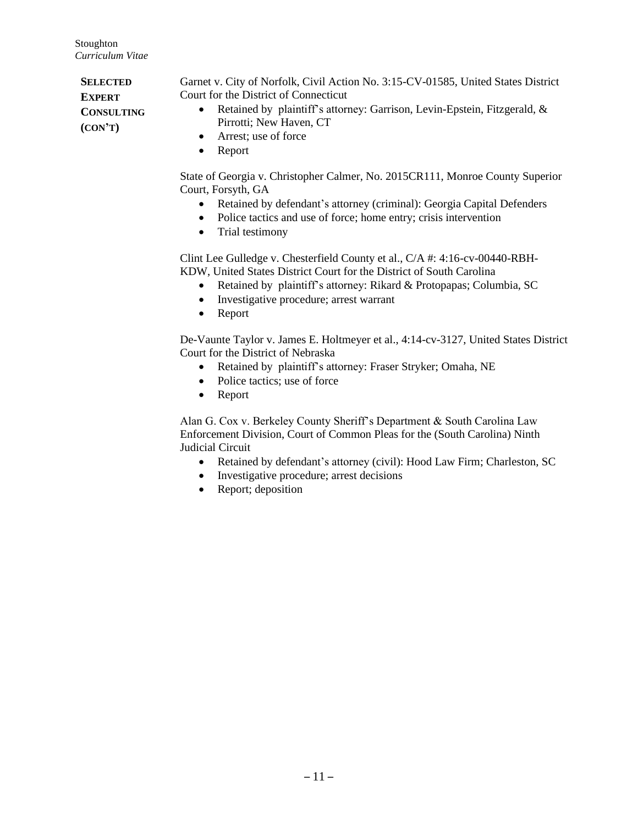**SELECTED EXPERT CONSULTING (CON'T)** Garnet v. City of Norfolk, Civil Action No. 3:15-CV-01585, United States District Court for the District of Connecticut • Retained by plaintiff's attorney: Garrison, Levin-Epstein, Fitzgerald, & Pirrotti; New Haven, CT • Arrest: use of force

• Report

State of Georgia v. Christopher Calmer, No. 2015CR111, Monroe County Superior Court, Forsyth, GA

- Retained by defendant's attorney (criminal): Georgia Capital Defenders
- Police tactics and use of force; home entry; crisis intervention
- Trial testimony

Clint Lee Gulledge v. Chesterfield County et al., C/A #: 4:16-cv-00440-RBH-KDW, United States District Court for the District of South Carolina

- Retained by plaintiff's attorney: Rikard & Protopapas; Columbia, SC
- Investigative procedure; arrest warrant
- Report

De-Vaunte Taylor v. James E. Holtmeyer et al., 4:14-cv-3127, United States District Court for the District of Nebraska

- Retained by plaintiff's attorney: Fraser Stryker; Omaha, NE
- Police tactics; use of force
- Report

Alan G. Cox v. Berkeley County Sheriff's Department & South Carolina Law Enforcement Division, Court of Common Pleas for the (South Carolina) Ninth Judicial Circuit

- Retained by defendant's attorney (civil): Hood Law Firm; Charleston, SC
- Investigative procedure; arrest decisions
- Report; deposition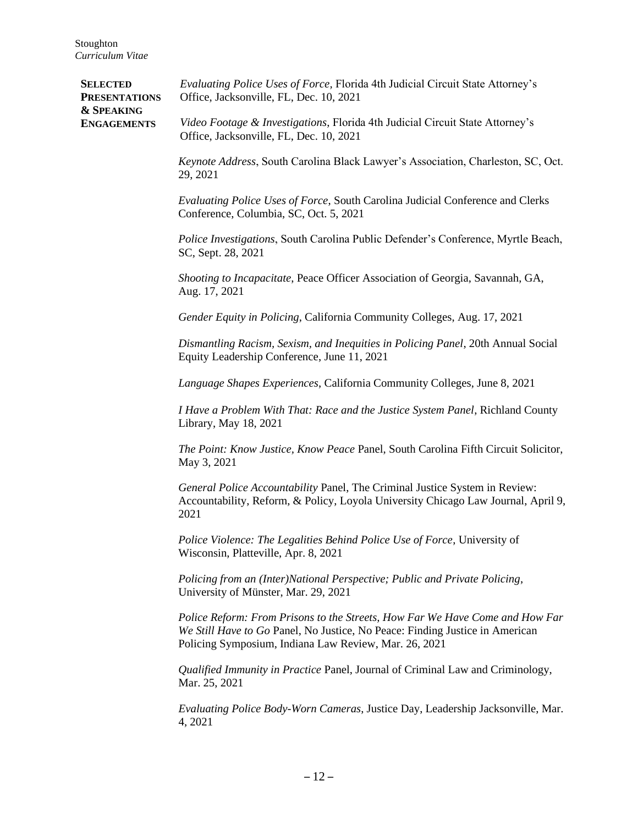| <b>SELECTED</b><br><b>PRESENTATIONS</b><br><b>&amp; SPEAKING</b><br><b>ENGAGEMENTS</b> | Evaluating Police Uses of Force, Florida 4th Judicial Circuit State Attorney's<br>Office, Jacksonville, FL, Dec. 10, 2021                                                                                             |
|----------------------------------------------------------------------------------------|-----------------------------------------------------------------------------------------------------------------------------------------------------------------------------------------------------------------------|
|                                                                                        | Video Footage & Investigations, Florida 4th Judicial Circuit State Attorney's<br>Office, Jacksonville, FL, Dec. 10, 2021                                                                                              |
|                                                                                        | Keynote Address, South Carolina Black Lawyer's Association, Charleston, SC, Oct.<br>29, 2021                                                                                                                          |
|                                                                                        | Evaluating Police Uses of Force, South Carolina Judicial Conference and Clerks<br>Conference, Columbia, SC, Oct. 5, 2021                                                                                              |
|                                                                                        | Police Investigations, South Carolina Public Defender's Conference, Myrtle Beach,<br>SC, Sept. 28, 2021                                                                                                               |
|                                                                                        | Shooting to Incapacitate, Peace Officer Association of Georgia, Savannah, GA,<br>Aug. 17, 2021                                                                                                                        |
|                                                                                        | Gender Equity in Policing, California Community Colleges, Aug. 17, 2021                                                                                                                                               |
|                                                                                        | Dismantling Racism, Sexism, and Inequities in Policing Panel, 20th Annual Social<br>Equity Leadership Conference, June 11, 2021                                                                                       |
|                                                                                        | Language Shapes Experiences, California Community Colleges, June 8, 2021                                                                                                                                              |
|                                                                                        | I Have a Problem With That: Race and the Justice System Panel, Richland County<br>Library, May 18, 2021                                                                                                               |
|                                                                                        | The Point: Know Justice, Know Peace Panel, South Carolina Fifth Circuit Solicitor,<br>May 3, 2021                                                                                                                     |
|                                                                                        | General Police Accountability Panel, The Criminal Justice System in Review:<br>Accountability, Reform, & Policy, Loyola University Chicago Law Journal, April 9,<br>2021                                              |
|                                                                                        | Police Violence: The Legalities Behind Police Use of Force, University of<br>Wisconsin, Platteville, Apr. 8, 2021                                                                                                     |
|                                                                                        | Policing from an (Inter)National Perspective; Public and Private Policing,<br>University of Münster, Mar. 29, 2021                                                                                                    |
|                                                                                        | Police Reform: From Prisons to the Streets, How Far We Have Come and How Far<br>We Still Have to Go Panel, No Justice, No Peace: Finding Justice in American<br>Policing Symposium, Indiana Law Review, Mar. 26, 2021 |
|                                                                                        | Qualified Immunity in Practice Panel, Journal of Criminal Law and Criminology,<br>Mar. 25, 2021                                                                                                                       |
|                                                                                        | Evaluating Police Body-Worn Cameras, Justice Day, Leadership Jacksonville, Mar.<br>4, 2021                                                                                                                            |
|                                                                                        |                                                                                                                                                                                                                       |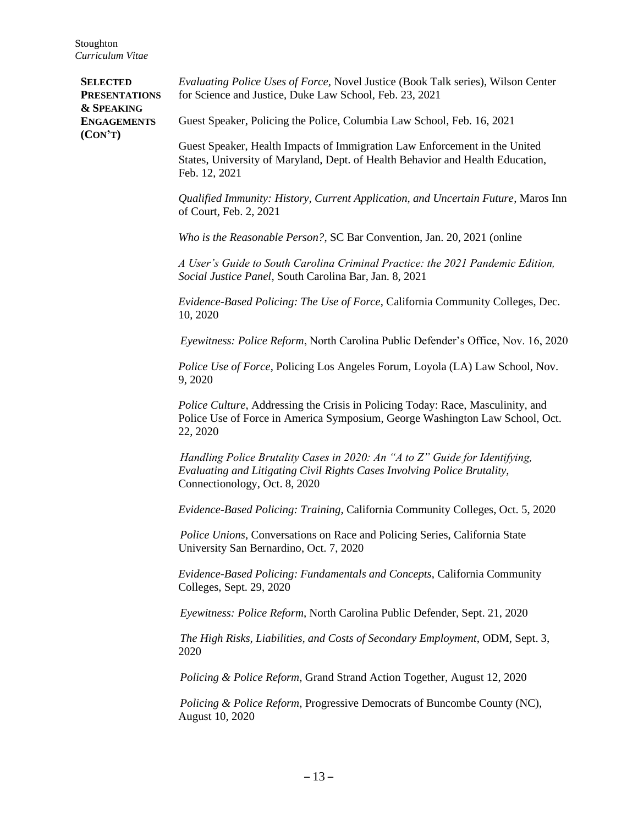| <b>SELECTED</b><br><b>PRESENTATIONS</b>                | Evaluating Police Uses of Force, Novel Justice (Book Talk series), Wilson Center<br>for Science and Justice, Duke Law School, Feb. 23, 2021                                              |
|--------------------------------------------------------|------------------------------------------------------------------------------------------------------------------------------------------------------------------------------------------|
| <b>&amp; SPEAKING</b><br><b>ENGAGEMENTS</b><br>(CON'T) | Guest Speaker, Policing the Police, Columbia Law School, Feb. 16, 2021                                                                                                                   |
|                                                        | Guest Speaker, Health Impacts of Immigration Law Enforcement in the United<br>States, University of Maryland, Dept. of Health Behavior and Health Education,<br>Feb. 12, 2021            |
|                                                        | Qualified Immunity: History, Current Application, and Uncertain Future, Maros Inn<br>of Court, Feb. 2, 2021                                                                              |
|                                                        | Who is the Reasonable Person?, SC Bar Convention, Jan. 20, 2021 (online                                                                                                                  |
|                                                        | A User's Guide to South Carolina Criminal Practice: the 2021 Pandemic Edition,<br>Social Justice Panel, South Carolina Bar, Jan. 8, 2021                                                 |
|                                                        | Evidence-Based Policing: The Use of Force, California Community Colleges, Dec.<br>10, 2020                                                                                               |
|                                                        | Eyewitness: Police Reform, North Carolina Public Defender's Office, Nov. 16, 2020                                                                                                        |
|                                                        | Police Use of Force, Policing Los Angeles Forum, Loyola (LA) Law School, Nov.<br>9,2020                                                                                                  |
|                                                        | Police Culture, Addressing the Crisis in Policing Today: Race, Masculinity, and<br>Police Use of Force in America Symposium, George Washington Law School, Oct.<br>22, 2020              |
|                                                        | Handling Police Brutality Cases in 2020: An "A to Z" Guide for Identifying,<br>Evaluating and Litigating Civil Rights Cases Involving Police Brutality,<br>Connectionology, Oct. 8, 2020 |
|                                                        | Evidence-Based Policing: Training, California Community Colleges, Oct. 5, 2020                                                                                                           |
|                                                        | Police Unions, Conversations on Race and Policing Series, California State<br>University San Bernardino, Oct. 7, 2020                                                                    |
|                                                        | Evidence-Based Policing: Fundamentals and Concepts, California Community<br>Colleges, Sept. 29, 2020                                                                                     |
|                                                        | Eyewitness: Police Reform, North Carolina Public Defender, Sept. 21, 2020                                                                                                                |
|                                                        | The High Risks, Liabilities, and Costs of Secondary Employment, ODM, Sept. 3,<br>2020                                                                                                    |
|                                                        | Policing & Police Reform, Grand Strand Action Together, August 12, 2020                                                                                                                  |
|                                                        | Policing & Police Reform, Progressive Democrats of Buncombe County (NC),<br>August 10, 2020                                                                                              |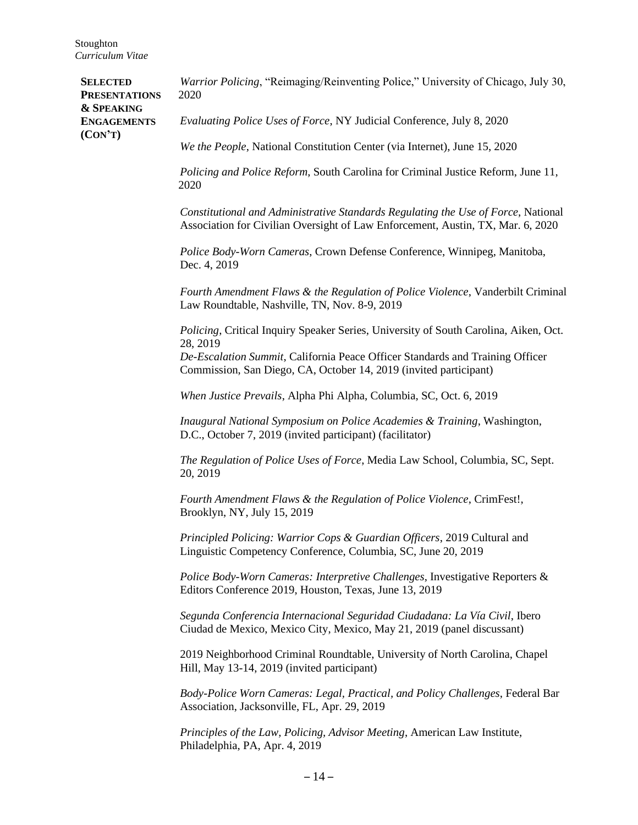| <b>SELECTED</b><br><b>PRESENTATIONS</b><br><b>&amp; SPEAKING</b><br><b>ENGAGEMENTS</b><br>(CON'T) | <i>Warrior Policing</i> , "Reimaging/Reinventing Police," University of Chicago, July 30,<br>2020                                                                    |
|---------------------------------------------------------------------------------------------------|----------------------------------------------------------------------------------------------------------------------------------------------------------------------|
|                                                                                                   | Evaluating Police Uses of Force, NY Judicial Conference, July 8, 2020                                                                                                |
|                                                                                                   | We the People, National Constitution Center (via Internet), June 15, 2020                                                                                            |
|                                                                                                   | Policing and Police Reform, South Carolina for Criminal Justice Reform, June 11,<br>2020                                                                             |
|                                                                                                   | Constitutional and Administrative Standards Regulating the Use of Force, National<br>Association for Civilian Oversight of Law Enforcement, Austin, TX, Mar. 6, 2020 |
|                                                                                                   | Police Body-Worn Cameras, Crown Defense Conference, Winnipeg, Manitoba,<br>Dec. 4, 2019                                                                              |
|                                                                                                   | Fourth Amendment Flaws & the Regulation of Police Violence, Vanderbilt Criminal<br>Law Roundtable, Nashville, TN, Nov. 8-9, 2019                                     |
|                                                                                                   | Policing, Critical Inquiry Speaker Series, University of South Carolina, Aiken, Oct.<br>28, 2019                                                                     |
|                                                                                                   | De-Escalation Summit, California Peace Officer Standards and Training Officer<br>Commission, San Diego, CA, October 14, 2019 (invited participant)                   |
|                                                                                                   | When Justice Prevails, Alpha Phi Alpha, Columbia, SC, Oct. 6, 2019                                                                                                   |
|                                                                                                   | Inaugural National Symposium on Police Academies & Training, Washington,<br>D.C., October 7, 2019 (invited participant) (facilitator)                                |
|                                                                                                   | The Regulation of Police Uses of Force, Media Law School, Columbia, SC, Sept.<br>20, 2019                                                                            |
|                                                                                                   | Fourth Amendment Flaws & the Regulation of Police Violence, CrimFest!,<br>Brooklyn, NY, July 15, 2019                                                                |
|                                                                                                   | Principled Policing: Warrior Cops & Guardian Officers, 2019 Cultural and<br>Linguistic Competency Conference, Columbia, SC, June 20, 2019                            |
|                                                                                                   | Police Body-Worn Cameras: Interpretive Challenges, Investigative Reporters &<br>Editors Conference 2019, Houston, Texas, June 13, 2019                               |
|                                                                                                   | Segunda Conferencia Internacional Seguridad Ciudadana: La Vía Civil, Ibero<br>Ciudad de Mexico, Mexico City, Mexico, May 21, 2019 (panel discussant)                 |
|                                                                                                   | 2019 Neighborhood Criminal Roundtable, University of North Carolina, Chapel<br>Hill, May 13-14, 2019 (invited participant)                                           |
|                                                                                                   | Body-Police Worn Cameras: Legal, Practical, and Policy Challenges, Federal Bar<br>Association, Jacksonville, FL, Apr. 29, 2019                                       |
|                                                                                                   | Principles of the Law, Policing, Advisor Meeting, American Law Institute,<br>Philadelphia, PA, Apr. 4, 2019                                                          |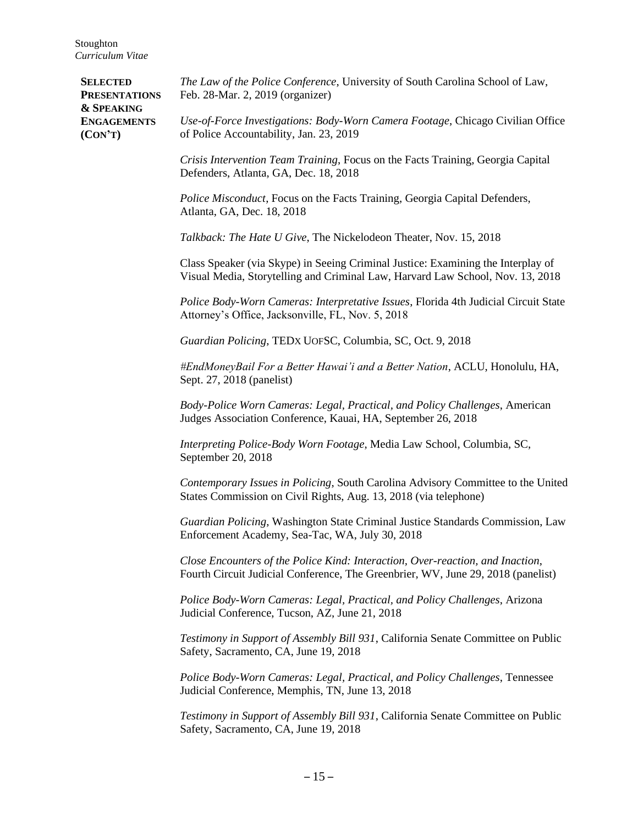| <b>SELECTED</b><br><b>PRESENTATIONS</b><br><b>&amp; SPEAKING</b><br><b>ENGAGEMENTS</b><br>(CON'T) | The Law of the Police Conference, University of South Carolina School of Law,<br>Feb. 28-Mar. 2, 2019 (organizer)                                                  |
|---------------------------------------------------------------------------------------------------|--------------------------------------------------------------------------------------------------------------------------------------------------------------------|
|                                                                                                   | Use-of-Force Investigations: Body-Worn Camera Footage, Chicago Civilian Office<br>of Police Accountability, Jan. 23, 2019                                          |
|                                                                                                   | Crisis Intervention Team Training, Focus on the Facts Training, Georgia Capital<br>Defenders, Atlanta, GA, Dec. 18, 2018                                           |
|                                                                                                   | <i>Police Misconduct</i> , Focus on the Facts Training, Georgia Capital Defenders,<br>Atlanta, GA, Dec. 18, 2018                                                   |
|                                                                                                   | Talkback: The Hate U Give, The Nickelodeon Theater, Nov. 15, 2018                                                                                                  |
|                                                                                                   | Class Speaker (via Skype) in Seeing Criminal Justice: Examining the Interplay of<br>Visual Media, Storytelling and Criminal Law, Harvard Law School, Nov. 13, 2018 |
|                                                                                                   | Police Body-Worn Cameras: Interpretative Issues, Florida 4th Judicial Circuit State<br>Attorney's Office, Jacksonville, FL, Nov. 5, 2018                           |
|                                                                                                   | Guardian Policing, TEDX UOFSC, Columbia, SC, Oct. 9, 2018                                                                                                          |
|                                                                                                   | #EndMoneyBail For a Better Hawai'i and a Better Nation, ACLU, Honolulu, HA,<br>Sept. 27, 2018 (panelist)                                                           |
|                                                                                                   | Body-Police Worn Cameras: Legal, Practical, and Policy Challenges, American<br>Judges Association Conference, Kauai, HA, September 26, 2018                        |
|                                                                                                   | Interpreting Police-Body Worn Footage, Media Law School, Columbia, SC,<br>September 20, 2018                                                                       |
|                                                                                                   | Contemporary Issues in Policing, South Carolina Advisory Committee to the United<br>States Commission on Civil Rights, Aug. 13, 2018 (via telephone)               |
|                                                                                                   | Guardian Policing, Washington State Criminal Justice Standards Commission, Law<br>Enforcement Academy, Sea-Tac, WA, July 30, 2018                                  |
|                                                                                                   | Close Encounters of the Police Kind: Interaction, Over-reaction, and Inaction,<br>Fourth Circuit Judicial Conference, The Greenbrier, WV, June 29, 2018 (panelist) |
|                                                                                                   | Police Body-Worn Cameras: Legal, Practical, and Policy Challenges, Arizona<br>Judicial Conference, Tucson, AZ, June 21, 2018                                       |
|                                                                                                   | Testimony in Support of Assembly Bill 931, California Senate Committee on Public<br>Safety, Sacramento, CA, June 19, 2018                                          |
|                                                                                                   | Police Body-Worn Cameras: Legal, Practical, and Policy Challenges, Tennessee<br>Judicial Conference, Memphis, TN, June 13, 2018                                    |
|                                                                                                   | Testimony in Support of Assembly Bill 931, California Senate Committee on Public<br>Safety, Sacramento, CA, June 19, 2018                                          |
|                                                                                                   |                                                                                                                                                                    |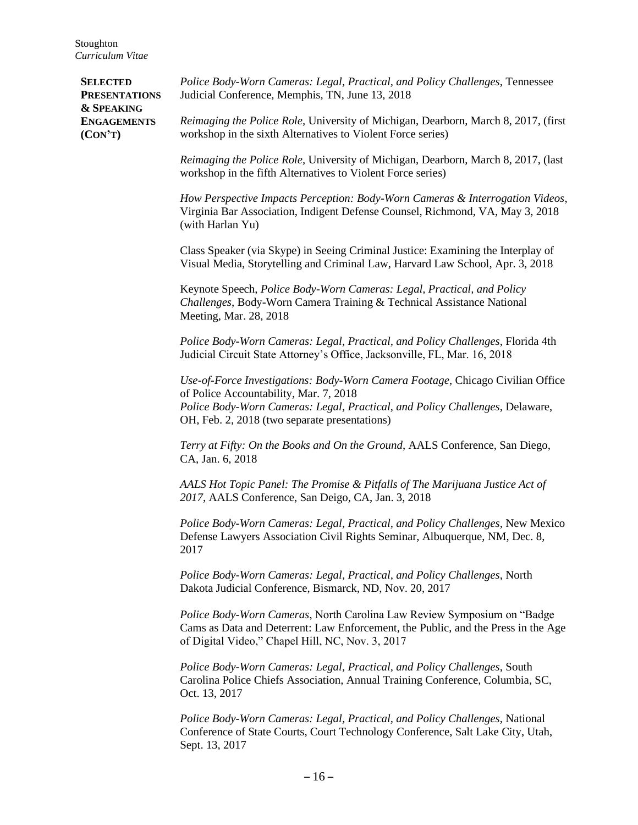*19B***SELECTED PRESENTATIONS & SPEAKING ENGAGEMENTS (CON'T)** *Police Body-Worn Cameras: Legal, Practical, and Policy Challenges*, Tennessee Judicial Conference, Memphis, TN, June 13, 2018 *Reimaging the Police Role,* University of Michigan, Dearborn, March 8, 2017, (first workshop in the sixth Alternatives to Violent Force series) *Reimaging the Police Role,* University of Michigan, Dearborn, March 8, 2017, (last workshop in the fifth Alternatives to Violent Force series) *How Perspective Impacts Perception: Body-Worn Cameras & Interrogation Videos*, Virginia Bar Association, Indigent Defense Counsel, Richmond, VA, May 3, 2018 (with Harlan Yu) Class Speaker (via Skype) in Seeing Criminal Justice: Examining the Interplay of Visual Media, Storytelling and Criminal Law, Harvard Law School, Apr. 3, 2018 Keynote Speech, *Police Body-Worn Cameras: Legal, Practical, and Policy Challenges*, Body-Worn Camera Training & Technical Assistance National Meeting, Mar. 28, 2018 *Police Body-Worn Cameras: Legal, Practical, and Policy Challenges*, Florida 4th Judicial Circuit State Attorney's Office, Jacksonville, FL, Mar. 16, 2018 *Use-of-Force Investigations: Body-Worn Camera Footage*, Chicago Civilian Office of Police Accountability, Mar. 7, 2018 *Police Body-Worn Cameras: Legal, Practical, and Policy Challenges*, Delaware, OH, Feb. 2, 2018 (two separate presentations) *Terry at Fifty: On the Books and On the Ground*, AALS Conference, San Diego, CA, Jan. 6, 2018 *AALS Hot Topic Panel: The Promise & Pitfalls of The Marijuana Justice Act of 2017*, AALS Conference, San Deigo, CA, Jan. 3, 2018 *Police Body-Worn Cameras: Legal, Practical, and Policy Challenges*, New Mexico Defense Lawyers Association Civil Rights Seminar, Albuquerque, NM, Dec. 8, 2017 *Police Body-Worn Cameras: Legal, Practical, and Policy Challenges*, North Dakota Judicial Conference, Bismarck, ND, Nov. 20, 2017 *Police Body-Worn Cameras*, North Carolina Law Review Symposium on "Badge Cams as Data and Deterrent: Law Enforcement, the Public, and the Press in the Age of Digital Video," Chapel Hill, NC, Nov. 3, 2017 *Police Body-Worn Cameras: Legal, Practical, and Policy Challenges*, South Carolina Police Chiefs Association, Annual Training Conference, Columbia, SC, Oct. 13, 2017 *Police Body-Worn Cameras: Legal, Practical, and Policy Challenges*, National Conference of State Courts, Court Technology Conference, Salt Lake City, Utah,

Sept. 13, 2017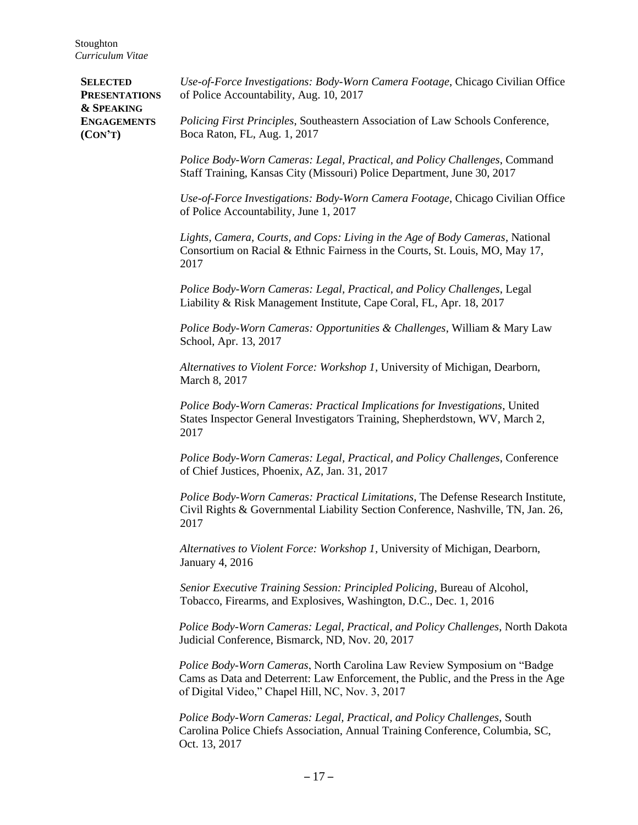*20B***SELECTED PRESENTATIONS & SPEAKING ENGAGEMENTS (CON'T)** *Use-of-Force Investigations: Body-Worn Camera Footage*, Chicago Civilian Office of Police Accountability, Aug. 10, 2017 *Policing First Principles*, Southeastern Association of Law Schools Conference, Boca Raton, FL, Aug. 1, 2017 *Police Body-Worn Cameras: Legal, Practical, and Policy Challenges*, Command Staff Training, Kansas City (Missouri) Police Department, June 30, 2017 *Use-of-Force Investigations: Body-Worn Camera Footage*, Chicago Civilian Office of Police Accountability, June 1, 2017 *Lights, Camera, Courts, and Cops: Living in the Age of Body Cameras*, National Consortium on Racial & Ethnic Fairness in the Courts, St. Louis, MO, May 17, 2017 *Police Body-Worn Cameras: Legal, Practical, and Policy Challenges*, Legal Liability & Risk Management Institute, Cape Coral, FL, Apr. 18, 2017 *Police Body-Worn Cameras: Opportunities & Challenges*, William & Mary Law School, Apr. 13, 2017 *Alternatives to Violent Force: Workshop 1,* University of Michigan, Dearborn, March 8, 2017 *Police Body-Worn Cameras: Practical Implications for Investigations*, United States Inspector General Investigators Training, Shepherdstown, WV, March 2, 2017 *Police Body-Worn Cameras: Legal, Practical, and Policy Challenges*, Conference of Chief Justices, Phoenix, AZ, Jan. 31, 2017 *Police Body-Worn Cameras: Practical Limitations*, The Defense Research Institute, Civil Rights & Governmental Liability Section Conference, Nashville, TN, Jan. 26, 2017 *Alternatives to Violent Force: Workshop 1,* University of Michigan, Dearborn, January 4, 2016 *Senior Executive Training Session: Principled Policing*, Bureau of Alcohol, Tobacco, Firearms, and Explosives, Washington, D.C., Dec. 1, 2016 *Police Body-Worn Cameras: Legal, Practical, and Policy Challenges*, North Dakota Judicial Conference, Bismarck, ND, Nov. 20, 2017 *Police Body-Worn Cameras*, North Carolina Law Review Symposium on "Badge Cams as Data and Deterrent: Law Enforcement, the Public, and the Press in the Age of Digital Video," Chapel Hill, NC, Nov. 3, 2017 *Police Body-Worn Cameras: Legal, Practical, and Policy Challenges*, South Carolina Police Chiefs Association, Annual Training Conference, Columbia, SC, Oct. 13, 2017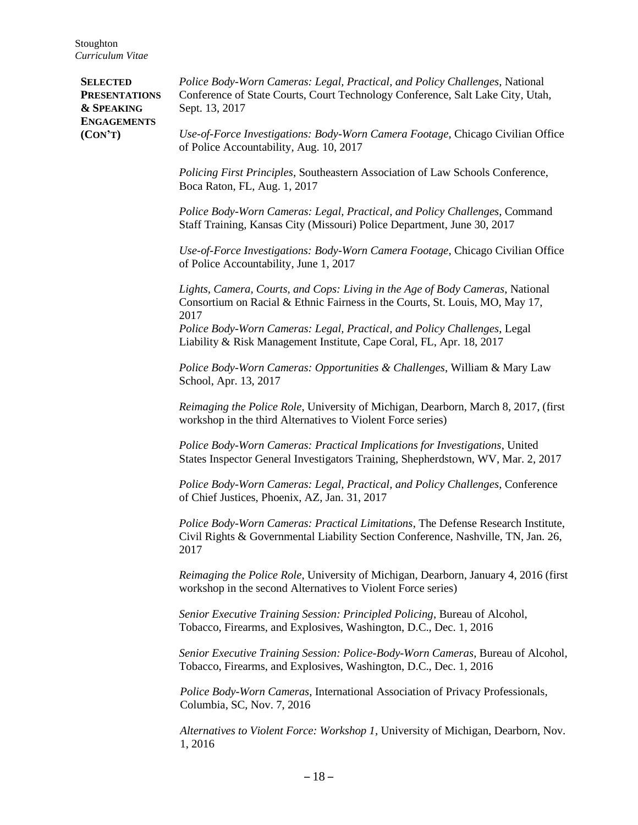| <b>SELECTED</b><br><b>PRESENTATIONS</b><br><b>&amp; SPEAKING</b><br><b>ENGAGEMENTS</b><br>(CON'T) | Police Body-Worn Cameras: Legal, Practical, and Policy Challenges, National<br>Conference of State Courts, Court Technology Conference, Salt Lake City, Utah,<br>Sept. 13, 2017 |
|---------------------------------------------------------------------------------------------------|---------------------------------------------------------------------------------------------------------------------------------------------------------------------------------|
|                                                                                                   | Use-of-Force Investigations: Body-Worn Camera Footage, Chicago Civilian Office<br>of Police Accountability, Aug. 10, 2017                                                       |
|                                                                                                   | Policing First Principles, Southeastern Association of Law Schools Conference,<br>Boca Raton, FL, Aug. 1, 2017                                                                  |
|                                                                                                   | Police Body-Worn Cameras: Legal, Practical, and Policy Challenges, Command<br>Staff Training, Kansas City (Missouri) Police Department, June 30, 2017                           |
|                                                                                                   | Use-of-Force Investigations: Body-Worn Camera Footage, Chicago Civilian Office<br>of Police Accountability, June 1, 2017                                                        |
|                                                                                                   | Lights, Camera, Courts, and Cops: Living in the Age of Body Cameras, National<br>Consortium on Racial & Ethnic Fairness in the Courts, St. Louis, MO, May 17,<br>2017           |
|                                                                                                   | Police Body-Worn Cameras: Legal, Practical, and Policy Challenges, Legal<br>Liability & Risk Management Institute, Cape Coral, FL, Apr. 18, 2017                                |
|                                                                                                   | Police Body-Worn Cameras: Opportunities & Challenges, William & Mary Law<br>School, Apr. 13, 2017                                                                               |
|                                                                                                   | Reimaging the Police Role, University of Michigan, Dearborn, March 8, 2017, (first<br>workshop in the third Alternatives to Violent Force series)                               |
|                                                                                                   | Police Body-Worn Cameras: Practical Implications for Investigations, United<br>States Inspector General Investigators Training, Shepherdstown, WV, Mar. 2, 2017                 |
|                                                                                                   | Police Body-Worn Cameras: Legal, Practical, and Policy Challenges, Conference<br>of Chief Justices, Phoenix, AZ, Jan. 31, 2017                                                  |
|                                                                                                   | Police Body-Worn Cameras: Practical Limitations, The Defense Research Institute,<br>Civil Rights & Governmental Liability Section Conference, Nashville, TN, Jan. 26,<br>2017   |
|                                                                                                   | Reimaging the Police Role, University of Michigan, Dearborn, January 4, 2016 (first<br>workshop in the second Alternatives to Violent Force series)                             |
|                                                                                                   | Senior Executive Training Session: Principled Policing, Bureau of Alcohol,<br>Tobacco, Firearms, and Explosives, Washington, D.C., Dec. 1, 2016                                 |
|                                                                                                   | Senior Executive Training Session: Police-Body-Worn Cameras, Bureau of Alcohol,<br>Tobacco, Firearms, and Explosives, Washington, D.C., Dec. 1, 2016                            |
|                                                                                                   | Police Body-Worn Cameras, International Association of Privacy Professionals,<br>Columbia, SC, Nov. 7, 2016                                                                     |
|                                                                                                   | Alternatives to Violent Force: Workshop 1, University of Michigan, Dearborn, Nov.<br>1, 2016                                                                                    |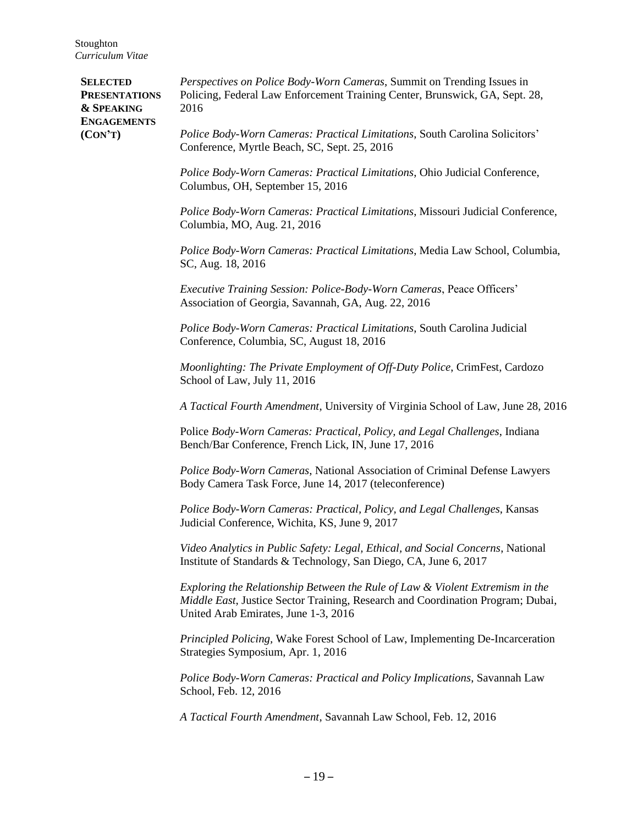**SELECTED PRESENTATIONS & SPEAKING ENGAGEMENTS (CON'T)** *Perspectives on Police Body-Worn Cameras*, Summit on Trending Issues in Policing, Federal Law Enforcement Training Center, Brunswick, GA, Sept. 28, 2016 *Police Body-Worn Cameras: Practical Limitations*, South Carolina Solicitors' Conference, Myrtle Beach, SC, Sept. 25, 2016 *Police Body-Worn Cameras: Practical Limitations*, Ohio Judicial Conference, Columbus, OH, September 15, 2016 *Police Body-Worn Cameras: Practical Limitations*, Missouri Judicial Conference, Columbia, MO, Aug. 21, 2016 *Police Body-Worn Cameras: Practical Limitations*, Media Law School, Columbia, SC, Aug. 18, 2016 *Executive Training Session: Police-Body-Worn Cameras*, Peace Officers' Association of Georgia, Savannah, GA, Aug. 22, 2016 *Police Body-Worn Cameras: Practical Limitations*, South Carolina Judicial Conference, Columbia, SC, August 18, 2016 *Moonlighting: The Private Employment of Off-Duty Police*, CrimFest, Cardozo School of Law, July 11, 2016 *A Tactical Fourth Amendment*, University of Virginia School of Law, June 28, 2016 Police *Body-Worn Cameras: Practical, Policy, and Legal Challenges*, Indiana Bench/Bar Conference, French Lick, IN, June 17, 2016 *Police Body-Worn Cameras*, National Association of Criminal Defense Lawyers Body Camera Task Force, June 14, 2017 (teleconference) *Police Body-Worn Cameras: Practical, Policy, and Legal Challenges*, Kansas Judicial Conference, Wichita, KS, June 9, 2017 *Video Analytics in Public Safety: Legal, Ethical, and Social Concerns*, National Institute of Standards & Technology, San Diego, CA, June 6, 2017 *Exploring the Relationship Between the Rule of Law & Violent Extremism in the Middle East*, Justice Sector Training, Research and Coordination Program; Dubai, United Arab Emirates, June 1-3, 2016 *Principled Policing,* Wake Forest School of Law, Implementing De-Incarceration Strategies Symposium, Apr. 1, 2016 *Police Body-Worn Cameras: Practical and Policy Implications*, Savannah Law School, Feb. 12, 2016 *A Tactical Fourth Amendment*, Savannah Law School, Feb. 12, 2016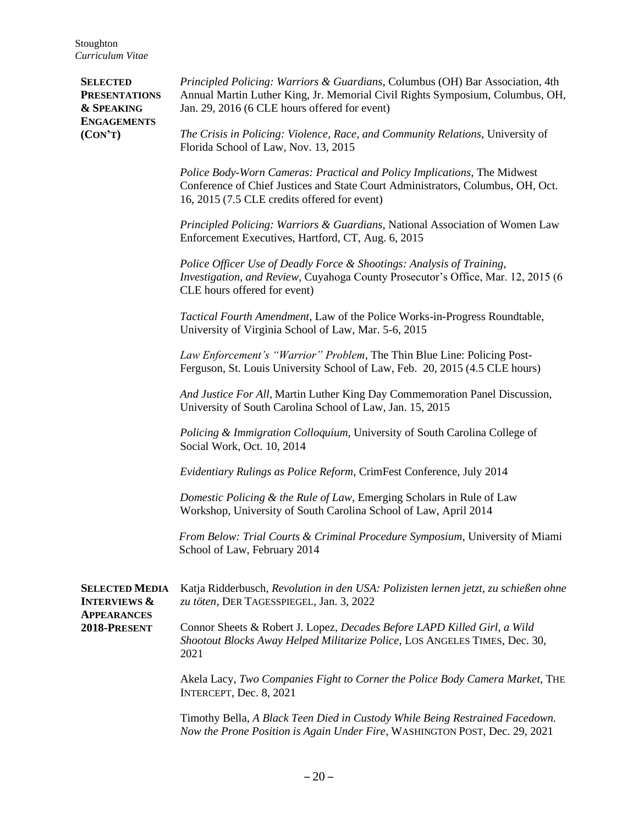**SELECTED MEDIA INTERVIEWS & APPEARANCES 2018-PRESENT** Katja Ridderbusch, *Revolution in den USA: Polizisten lernen jetzt, zu schießen ohne zu töten*, DER TAGESSPIEGEL, Jan. 3, 2022 Connor Sheets & Robert J. Lopez, *Decades Before LAPD Killed Girl, a Wild Shootout Blocks Away Helped Militarize Police*, LOS ANGELES TIMES, Dec. 30, 2021 Akela Lacy, *Two Companies Fight to Corner the Police Body Camera Market*, THE INTERCEPT, Dec. 8, 2021 Timothy Bella, *A Black Teen Died in Custody While Being Restrained Facedown. Now the Prone Position is Again Under Fire*, WASHINGTON POST, Dec. 29, 2021 **SELECTED PRESENTATIONS & SPEAKING ENGAGEMENTS (CON'T)** *Principled Policing: Warriors & Guardians*, Columbus (OH) Bar Association, 4th Annual Martin Luther King, Jr. Memorial Civil Rights Symposium, Columbus, OH, Jan. 29, 2016 (6 CLE hours offered for event) *The Crisis in Policing: Violence, Race, and Community Relations*, University of Florida School of Law, Nov. 13, 2015 *Police Body-Worn Cameras: Practical and Policy Implications*, The Midwest Conference of Chief Justices and State Court Administrators, Columbus, OH, Oct. 16, 2015 (7.5 CLE credits offered for event) *Principled Policing: Warriors & Guardians*, National Association of Women Law Enforcement Executives, Hartford, CT, Aug. 6, 2015 *Police Officer Use of Deadly Force & Shootings: Analysis of Training, Investigation, and Review*, Cuyahoga County Prosecutor's Office, Mar. 12, 2015 (6 CLE hours offered for event) *Tactical Fourth Amendment*, Law of the Police Works-in-Progress Roundtable, University of Virginia School of Law, Mar. 5-6, 2015 *Law Enforcement's "Warrior" Problem*, The Thin Blue Line: Policing Post-Ferguson, St. Louis University School of Law, Feb. 20, 2015 (4.5 CLE hours) *And Justice For All*, Martin Luther King Day Commemoration Panel Discussion, University of South Carolina School of Law, Jan. 15, 2015 *Policing & Immigration Colloquium*, University of South Carolina College of Social Work, Oct. 10, 2014 *Evidentiary Rulings as Police Reform*, CrimFest Conference, July 2014 *Domestic Policing & the Rule of Law*, Emerging Scholars in Rule of Law Workshop, University of South Carolina School of Law, April 2014 *From Below: Trial Courts & Criminal Procedure Symposium*, University of Miami School of Law, February 2014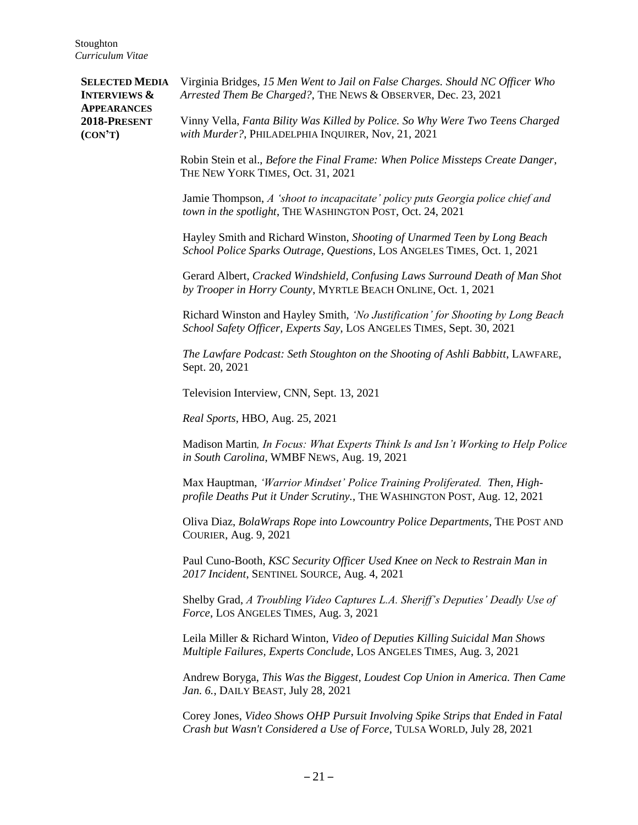**SELECTED MEDIA INTERVIEWS & APPEARANCES 2018-PRESENT (CON'T)** Virginia Bridges, *15 Men Went to Jail on False Charges. Should NC Officer Who Arrested Them Be Charged?*, THE NEWS & OBSERVER, Dec. 23, 2021 Vinny Vella, *Fanta Bility Was Killed by Police. So Why Were Two Teens Charged with Murder?*, PHILADELPHIA INQUIRER, Nov, 21, 2021 Robin Stein et al., *Before the Final Frame: When Police Missteps Create Danger*, THE NEW YORK TIMES, Oct. 31, 2021 Jamie Thompson, *A 'shoot to incapacitate' policy puts Georgia police chief and town in the spotlight*, THE WASHINGTON POST, Oct. 24, 2021 Hayley Smith and Richard Winston, *Shooting of Unarmed Teen by Long Beach School Police Sparks Outrage, Questions*, LOS ANGELES TIMES, Oct. 1, 2021 Gerard Albert, *Cracked Windshield, Confusing Laws Surround Death of Man Shot by Trooper in Horry County*, MYRTLE BEACH ONLINE, Oct. 1, 2021 Richard Winston and Hayley Smith, *'No Justification' for Shooting by Long Beach School Safety Officer, Experts Say*, LOS ANGELES TIMES, Sept. 30, 2021 *The Lawfare Podcast: Seth Stoughton on the Shooting of Ashli Babbitt*, LAWFARE, Sept. 20, 2021 Television Interview, CNN, Sept. 13, 2021 *Real Sports*, HBO, Aug. 25, 2021 Madison Martin*, In Focus: What Experts Think Is and Isn't Working to Help Police in South Carolina*, WMBF NEWS, Aug. 19, 2021 Max Hauptman, *'Warrior Mindset' Police Training Proliferated. Then, Highprofile Deaths Put it Under Scrutiny.*, THE WASHINGTON POST, Aug. 12, 2021 Oliva Diaz, *BolaWraps Rope into Lowcountry Police Departments*, THE POST AND COURIER, Aug. 9, 2021 Paul Cuno-Booth, *KSC Security Officer Used Knee on Neck to Restrain Man in 2017 Incident*, SENTINEL SOURCE, Aug. 4, 2021 Shelby Grad, *A Troubling Video Captures L.A. Sheriff's Deputies' Deadly Use of Force*, LOS ANGELES TIMES, Aug. 3, 2021 Leila Miller & Richard Winton, *Video of Deputies Killing Suicidal Man Shows Multiple Failures, Experts Conclude*, LOS ANGELES TIMES, Aug. 3, 2021 Andrew Boryga, *This Was the Biggest, Loudest Cop Union in America. Then Came Jan. 6.*, DAILY BEAST, July 28, 2021 Corey Jones, *Video Shows OHP Pursuit Involving Spike Strips that Ended in Fatal Crash but Wasn't Considered a Use of Force*, TULSA WORLD, July 28, 2021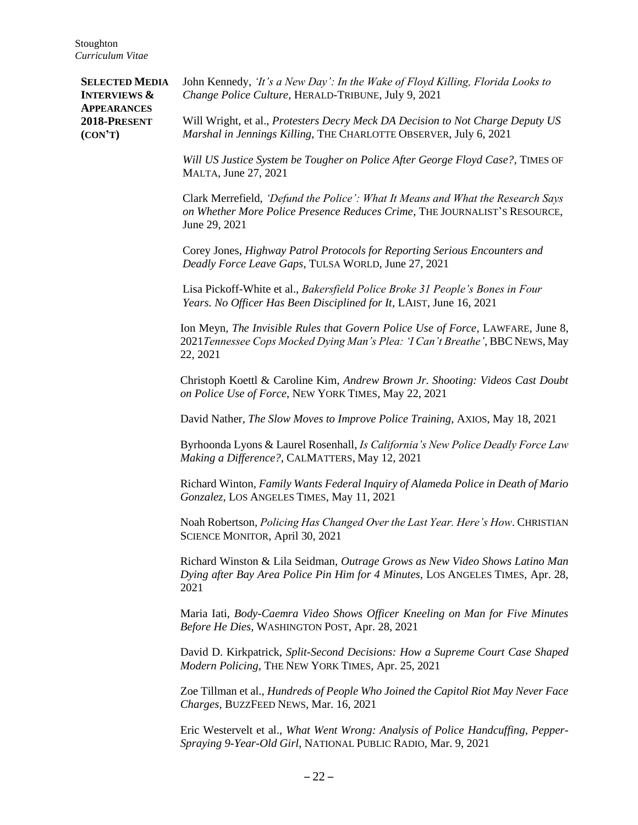**SELECTED MEDIA INTERVIEWS & APPEARANCES 2018-PRESENT (CON'T)** John Kennedy, *'It's a New Day': In the Wake of Floyd Killing, Florida Looks to Change Police Culture*, HERALD-TRIBUNE, July 9, 2021 Will Wright, et al., *Protesters Decry Meck DA Decision to Not Charge Deputy US Marshal in Jennings Killing*, THE CHARLOTTE OBSERVER, July 6, 2021 *Will US Justice System be Tougher on Police After George Floyd Case?*, TIMES OF MALTA, June 27, 2021 Clark Merrefield, *'Defund the Police': What It Means and What the Research Says on Whether More Police Presence Reduces Crime*, THE JOURNALIST'S RESOURCE, June 29, 2021 Corey Jones, *Highway Patrol Protocols for Reporting Serious Encounters and Deadly Force Leave Gaps*, TULSA WORLD, June 27, 2021 Lisa Pickoff-White et al., *Bakersfield Police Broke 31 People's Bones in Four Years. No Officer Has Been Disciplined for It*, LAIST, June 16, 2021 Ion Meyn, *The Invisible Rules that Govern Police Use of Force*, LAWFARE, June 8, 2021*Tennessee Cops Mocked Dying Man's Plea: 'I Can't Breathe'*, BBC NEWS, May 22, 2021 Christoph Koettl & Caroline Kim, *Andrew Brown Jr. Shooting: Videos Cast Doubt on Police Use of Force*, NEW YORK TIMES, May 22, 2021 David Nather*, The Slow Moves to Improve Police Training*, AXIOS, May 18, 2021 Byrhoonda Lyons & Laurel Rosenhall, *Is California's New Police Deadly Force Law Making a Difference?*, CALMATTERS, May 12, 2021 Richard Winton, *Family Wants Federal Inquiry of Alameda Police in Death of Mario Gonzalez*, LOS ANGELES TIMES, May 11, 2021 Noah Robertson, *Policing Has Changed Over the Last Year. Here's How*. CHRISTIAN SCIENCE MONITOR, April 30, 2021 Richard Winston & Lila Seidman, *Outrage Grows as New Video Shows Latino Man Dying after Bay Area Police Pin Him for 4 Minutes*, LOS ANGELES TIMES, Apr. 28, 2021 Maria Iati, *Body-Caemra Video Shows Officer Kneeling on Man for Five Minutes Before He Dies*, WASHINGTON POST, Apr. 28, 2021 David D. Kirkpatrick, *Split-Second Decisions: How a Supreme Court Case Shaped Modern Policing*, THE NEW YORK TIMES, Apr. 25, 2021 Zoe Tillman et al., *Hundreds of People Who Joined the Capitol Riot May Never Face Charges*, BUZZFEED NEWS, Mar. 16, 2021 Eric Westervelt et al., *What Went Wrong: Analysis of Police Handcuffing, Pepper-Spraying 9-Year-Old Girl*, NATIONAL PUBLIC RADIO, Mar. 9, 2021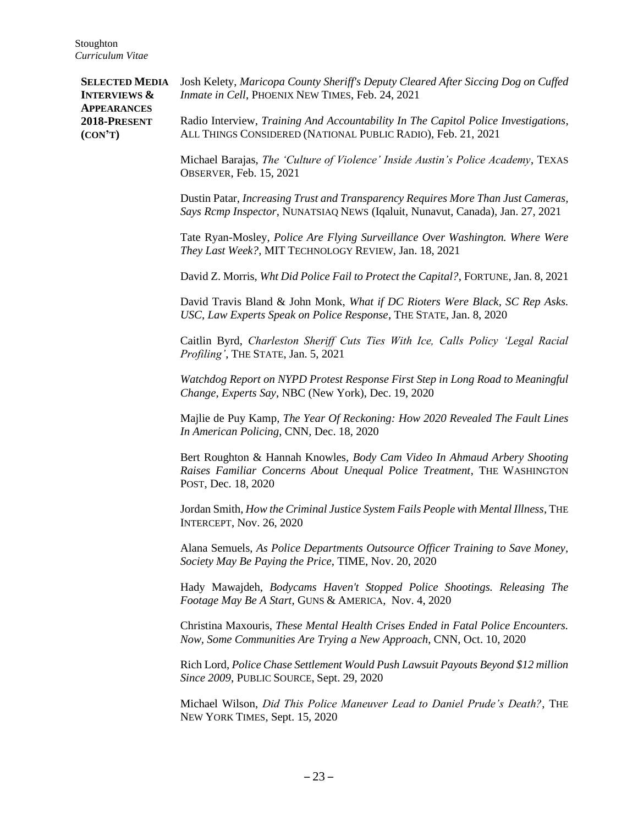**SELECTED MEDIA INTERVIEWS & APPEARANCES 2018-PRESENT (CON'T)** Josh Kelety, *Maricopa County Sheriff's Deputy Cleared After Siccing Dog on Cuffed Inmate in Cell*, PHOENIX NEW TIMES, Feb. 24, 2021 Radio Interview, *Training And Accountability In The Capitol Police Investigations*, ALL THINGS CONSIDERED (NATIONAL PUBLIC RADIO), Feb. 21, 2021 Michael Barajas, *The 'Culture of Violence' Inside Austin's Police Academy*, TEXAS OBSERVER, Feb. 15, 2021 Dustin Patar, *Increasing Trust and Transparency Requires More Than Just Cameras, Says Rcmp Inspector*, NUNATSIAQ NEWS (Iqaluit, Nunavut, Canada), Jan. 27, 2021 Tate Ryan-Mosley, *Police Are Flying Surveillance Over Washington. Where Were They Last Week?*, MIT TECHNOLOGY REVIEW, Jan. 18, 2021 David Z. Morris, *Wht Did Police Fail to Protect the Capital?*, FORTUNE, Jan. 8, 2021 David Travis Bland & John Monk, *What if DC Rioters Were Black, SC Rep Asks. USC, Law Experts Speak on Police Response*, THE STATE, Jan. 8, 2020 Caitlin Byrd, *Charleston Sheriff Cuts Ties With Ice, Calls Policy 'Legal Racial Profiling'*, THE STATE, Jan. 5, 2021 *Watchdog Report on NYPD Protest Response First Step in Long Road to Meaningful Change, Experts Say*, NBC (New York), Dec. 19, 2020 Majlie de Puy Kamp, *The Year Of Reckoning: How 2020 Revealed The Fault Lines In American Policing*, CNN, Dec. 18, 2020 Bert Roughton & Hannah Knowles, *Body Cam Video In Ahmaud Arbery Shooting Raises Familiar Concerns About Unequal Police Treatment*, THE WASHINGTON POST, Dec. 18, 2020 Jordan Smith, *How the Criminal Justice System Fails People with Mental Illness*, THE INTERCEPT, Nov. 26, 2020 Alana Semuels, *As Police Departments Outsource Officer Training to Save Money, Society May Be Paying the Price*, TIME, Nov. 20, 2020 Hady Mawajdeh, *Bodycams Haven't Stopped Police Shootings. Releasing The Footage May Be A Start*, GUNS & AMERICA, Nov. 4, 2020 Christina Maxouris, *These Mental Health Crises Ended in Fatal Police Encounters. Now, Some Communities Are Trying a New Approach*, CNN, Oct. 10, 2020 Rich Lord, *Police Chase Settlement Would Push Lawsuit Payouts Beyond \$12 million Since 2009*, PUBLIC SOURCE, Sept. 29, 2020 Michael Wilson, *Did This Police Maneuver Lead to Daniel Prude's Death?*, THE NEW YORK TIMES, Sept. 15, 2020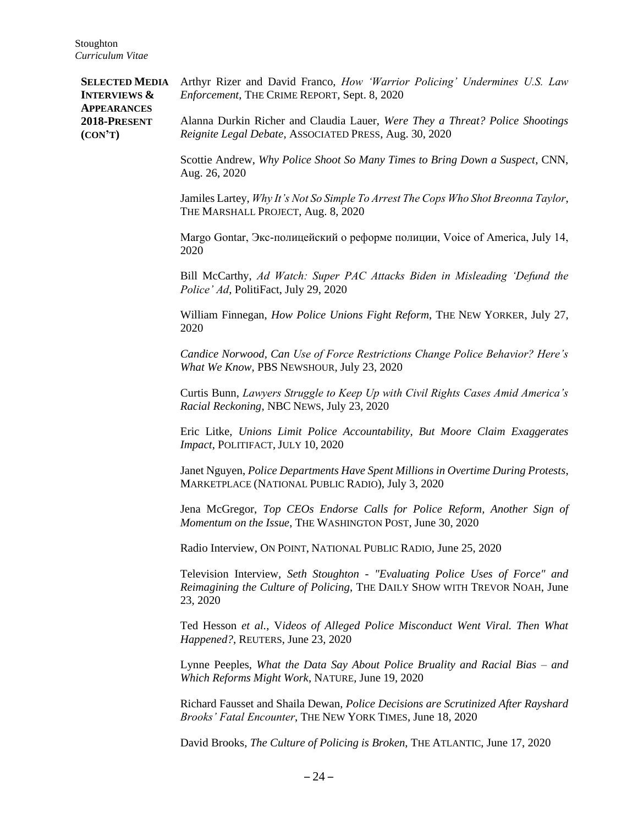**SELECTED MEDIA INTERVIEWS & APPEARANCES 2018-PRESENT (CON'T)** Arthyr Rizer and David Franco, *How 'Warrior Policing' Undermines U.S. Law Enforcement*, THE CRIME REPORT, Sept. 8, 2020 Alanna Durkin Richer and Claudia Lauer, *Were They a Threat? Police Shootings Reignite Legal Debate*, ASSOCIATED PRESS, Aug. 30, 2020 Scottie Andrew, *Why Police Shoot So Many Times to Bring Down a Suspect*, CNN, Aug. 26, 2020 Jamiles Lartey, *Why It's Not So Simple To Arrest The Cops Who Shot Breonna Taylor*, THE MARSHALL PROJECT, Aug. 8, 2020 Margo Gontar, Экс-полицейский о реформе полиции, Voice of America, July 14, 2020 Bill McCarthy, *Ad Watch: Super PAC Attacks Biden in Misleading 'Defund the Police' Ad*, PolitiFact, July 29, 2020 William Finnegan, *How Police Unions Fight Reform*, THE NEW YORKER, July 27, 2020 *Candice Norwood, Can Use of Force Restrictions Change Police Behavior? Here's What We Know*, PBS NEWSHOUR, July 23, 2020 Curtis Bunn, *Lawyers Struggle to Keep Up with Civil Rights Cases Amid America's Racial Reckoning*, NBC NEWS, July 23, 2020 Eric Litke, *Unions Limit Police Accountability, But Moore Claim Exaggerates Impact*, POLITIFACT, JULY 10, 2020 Janet Nguyen, *Police Departments Have Spent Millions in Overtime During Protests*, MARKETPLACE (NATIONAL PUBLIC RADIO), July 3, 2020 Jena McGregor, *Top CEOs Endorse Calls for Police Reform, Another Sign of Momentum on the Issue*, THE WASHINGTON POST, June 30, 2020 Radio Interview, ON POINT, NATIONAL PUBLIC RADIO, June 25, 2020 Television Interview, *Seth Stoughton - "Evaluating Police Uses of Force" and Reimagining the Culture of Policing*, THE DAILY SHOW WITH TREVOR NOAH, June 23, 2020 Ted Hesson *et al.*, V*ideos of Alleged Police Misconduct Went Viral. Then What Happened?*, REUTERS, June 23, 2020 Lynne Peeples, *What the Data Say About Police Bruality and Racial Bias – and Which Reforms Might Work*, NATURE, June 19, 2020 Richard Fausset and Shaila Dewan, *Police Decisions are Scrutinized After Rayshard Brooks' Fatal Encounter*, THE NEW YORK TIMES, June 18, 2020 David Brooks, *The Culture of Policing is Broken*, THE ATLANTIC, June 17, 2020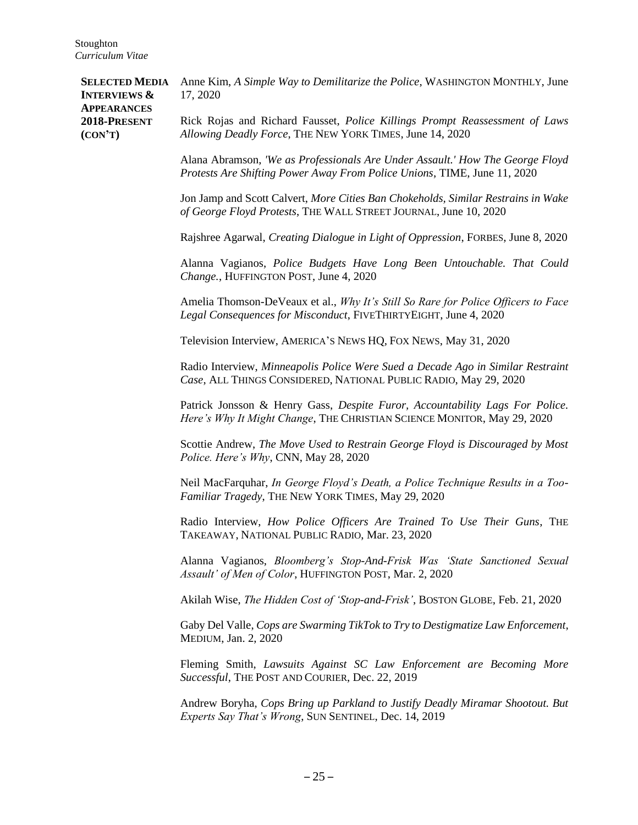**SELECTED MEDIA INTERVIEWS & APPEARANCES 2018-PRESENT (CON'T)** Anne Kim, *A Simple Way to Demilitarize the Police*, WASHINGTON MONTHLY, June 17, 2020 Rick Rojas and Richard Fausset, *Police Killings Prompt Reassessment of Laws Allowing Deadly Force*, THE NEW YORK TIMES, June 14, 2020 Alana Abramson, *'We as Professionals Are Under Assault.' How The George Floyd Protests Are Shifting Power Away From Police Unions*, TIME, June 11, 2020 Jon Jamp and Scott Calvert, *More Cities Ban Chokeholds, Similar Restrains in Wake of George Floyd Protests*, THE WALL STREET JOURNAL, June 10, 2020 Rajshree Agarwal, *Creating Dialogue in Light of Oppression*, FORBES, June 8, 2020 Alanna Vagianos, *Police Budgets Have Long Been Untouchable. That Could Change.*, HUFFINGTON POST, June 4, 2020 Amelia Thomson-DeVeaux et al., *Why It's Still So Rare for Police Officers to Face Legal Consequences for Misconduct*, FIVETHIRTYEIGHT, June 4, 2020 Television Interview, AMERICA'S NEWS HQ, FOX NEWS, May 31, 2020 Radio Interview, *Minneapolis Police Were Sued a Decade Ago in Similar Restraint Case*, ALL THINGS CONSIDERED, NATIONAL PUBLIC RADIO, May 29, 2020 Patrick Jonsson & Henry Gass, *Despite Furor, Accountability Lags For Police. Here's Why It Might Change*, THE CHRISTIAN SCIENCE MONITOR, May 29, 2020 Scottie Andrew, *The Move Used to Restrain George Floyd is Discouraged by Most Police. Here's Why*, CNN, May 28, 2020 Neil MacFarquhar, *In George Floyd's Death, a Police Technique Results in a Too-Familiar Tragedy*, THE NEW YORK TIMES, May 29, 2020 Radio Interview, *How Police Officers Are Trained To Use Their Guns*, THE TAKEAWAY, NATIONAL PUBLIC RADIO, Mar. 23, 2020 Alanna Vagianos, *Bloomberg's Stop-And-Frisk Was 'State Sanctioned Sexual Assault' of Men of Color*, HUFFINGTON POST, Mar. 2, 2020 Akilah Wise, *The Hidden Cost of 'Stop-and-Frisk'*, BOSTON GLOBE, Feb. 21, 2020 Gaby Del Valle, *Cops are Swarming TikTok to Try to Destigmatize Law Enforcement*, MEDIUM, Jan. 2, 2020 Fleming Smith, *Lawsuits Against SC Law Enforcement are Becoming More Successful*, THE POST AND COURIER, Dec. 22, 2019 Andrew Boryha, *Cops Bring up Parkland to Justify Deadly Miramar Shootout. But Experts Say That's Wrong*, SUN SENTINEL, Dec. 14, 2019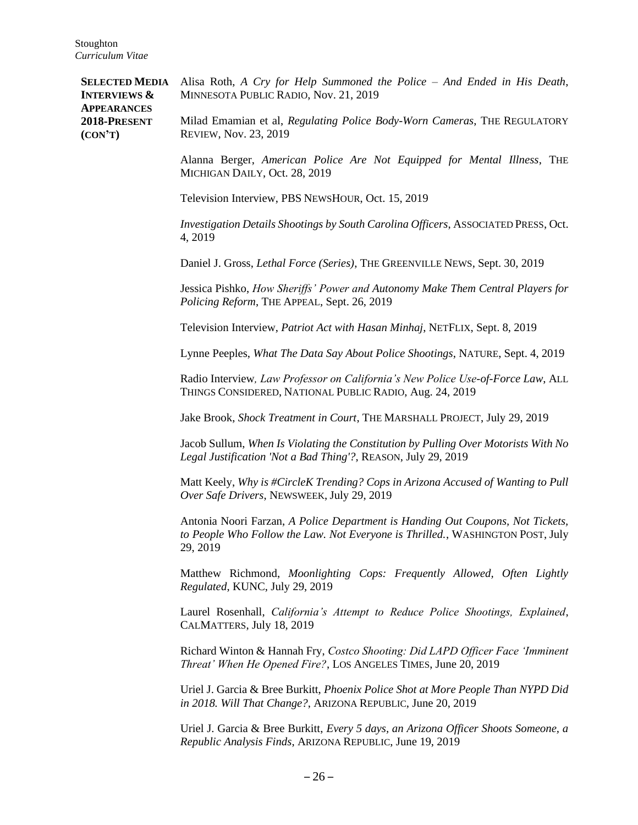**SELECTED MEDIA INTERVIEWS & APPEARANCES 2018-PRESENT (CON'T)** Alisa Roth, *A Cry for Help Summoned the Police – And Ended in His Death*, MINNESOTA PUBLIC RADIO, Nov. 21, 2019 Milad Emamian et al, *Regulating Police Body-Worn Cameras*, THE REGULATORY REVIEW, Nov. 23, 2019 Alanna Berger, *American Police Are Not Equipped for Mental Illness*, THE MICHIGAN DAILY, Oct. 28, 2019 Television Interview, PBS NEWSHOUR, Oct. 15, 2019 *Investigation Details Shootings by South Carolina Officers*, ASSOCIATED PRESS, Oct. 4, 2019 Daniel J. Gross, *Lethal Force (Series)*, THE GREENVILLE NEWS, Sept. 30, 2019 Jessica Pishko, *How Sheriffs' Power and Autonomy Make Them Central Players for Policing Reform*, THE APPEAL, Sept. 26, 2019 Television Interview, *Patriot Act with Hasan Minhaj*, NETFLIX, Sept. 8, 2019 Lynne Peeples, *What The Data Say About Police Shootings*, NATURE, Sept. 4, 2019 Radio Interview*, Law Professor on California's New Police Use-of-Force Law*, ALL THINGS CONSIDERED, NATIONAL PUBLIC RADIO, Aug. 24, 2019 Jake Brook, *Shock Treatment in Court*, THE MARSHALL PROJECT, July 29, 2019 Jacob Sullum, *When Is Violating the Constitution by Pulling Over Motorists With No Legal Justification 'Not a Bad Thing'?*, REASON, July 29, 2019 Matt Keely, *Why is #CircleK Trending? Cops in Arizona Accused of Wanting to Pull Over Safe Drivers*, NEWSWEEK, July 29, 2019 Antonia Noori Farzan, *A Police Department is Handing Out Coupons, Not Tickets, to People Who Follow the Law. Not Everyone is Thrilled.*, WASHINGTON POST, July 29, 2019 Matthew Richmond, *Moonlighting Cops: Frequently Allowed, Often Lightly Regulated*, KUNC, July 29, 2019 Laurel Rosenhall, *California's Attempt to Reduce Police Shootings, Explained*, CALMATTERS, July 18, 2019 Richard Winton & Hannah Fry, *Costco Shooting: Did LAPD Officer Face 'Imminent Threat' When He Opened Fire?*, LOS ANGELES TIMES, June 20, 2019 Uriel J. Garcia & Bree Burkitt, *Phoenix Police Shot at More People Than NYPD Did in 2018. Will That Change?*, ARIZONA REPUBLIC, June 20, 2019 Uriel J. Garcia & Bree Burkitt, *Every 5 days, an Arizona Officer Shoots Someone, a Republic Analysis Finds*, ARIZONA REPUBLIC, June 19, 2019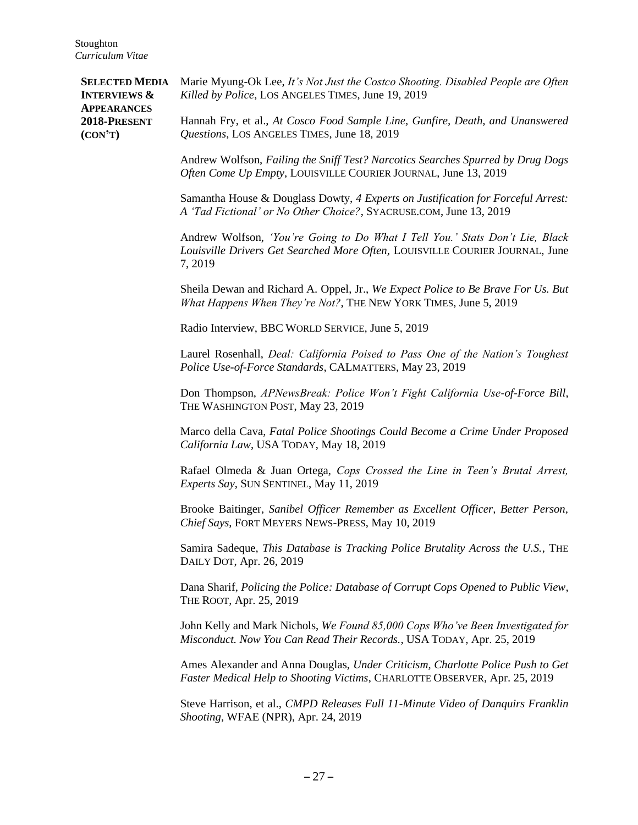**SELECTED MEDIA INTERVIEWS & APPEARANCES 2018-PRESENT (CON'T)** Marie Myung-Ok Lee, *It's Not Just the Costco Shooting. Disabled People are Often Killed by Police*, LOS ANGELES TIMES, June 19, 2019 Hannah Fry, et al., *At Cosco Food Sample Line, Gunfire, Death, and Unanswered Questions*, LOS ANGELES TIMES, June 18, 2019 Andrew Wolfson, *Failing the Sniff Test? Narcotics Searches Spurred by Drug Dogs Often Come Up Empty*, LOUISVILLE COURIER JOURNAL, June 13, 2019 Samantha House & Douglass Dowty, *4 Experts on Justification for Forceful Arrest: A 'Tad Fictional' or No Other Choice?*, SYACRUSE.COM, June 13, 2019 Andrew Wolfson, *'You're Going to Do What I Tell You.' Stats Don't Lie, Black Louisville Drivers Get Searched More Often,* LOUISVILLE COURIER JOURNAL, June 7, 2019 Sheila Dewan and Richard A. Oppel, Jr., *We Expect Police to Be Brave For Us. But What Happens When They're Not?*, THE NEW YORK TIMES, June 5, 2019 Radio Interview, BBC WORLD SERVICE, June 5, 2019 Laurel Rosenhall, *Deal: California Poised to Pass One of the Nation's Toughest Police Use-of-Force Standards*, CALMATTERS, May 23, 2019 Don Thompson, *APNewsBreak: Police Won't Fight California Use-of-Force Bill*, THE WASHINGTON POST, May 23, 2019 Marco della Cava, *Fatal Police Shootings Could Become a Crime Under Proposed California Law*, USA TODAY, May 18, 2019 Rafael Olmeda & Juan Ortega, *Cops Crossed the Line in Teen's Brutal Arrest, Experts Say*, SUN SENTINEL, May 11, 2019 Brooke Baitinger, *Sanibel Officer Remember as Excellent Officer, Better Person, Chief Says*, FORT MEYERS NEWS-PRESS, May 10, 2019 Samira Sadeque, *This Database is Tracking Police Brutality Across the U.S.*, THE DAILY DOT, Apr. 26, 2019 Dana Sharif, *Policing the Police: Database of Corrupt Cops Opened to Public View*, THE ROOT, Apr. 25, 2019 John Kelly and Mark Nichols, *We Found 85,000 Cops Who've Been Investigated for Misconduct. Now You Can Read Their Records.*, USA TODAY, Apr. 25, 2019 Ames Alexander and Anna Douglas, *Under Criticism, Charlotte Police Push to Get Faster Medical Help to Shooting Victims*, CHARLOTTE OBSERVER, Apr. 25, 2019 Steve Harrison, et al., *CMPD Releases Full 11-Minute Video of Danquirs Franklin Shooting*, WFAE (NPR), Apr. 24, 2019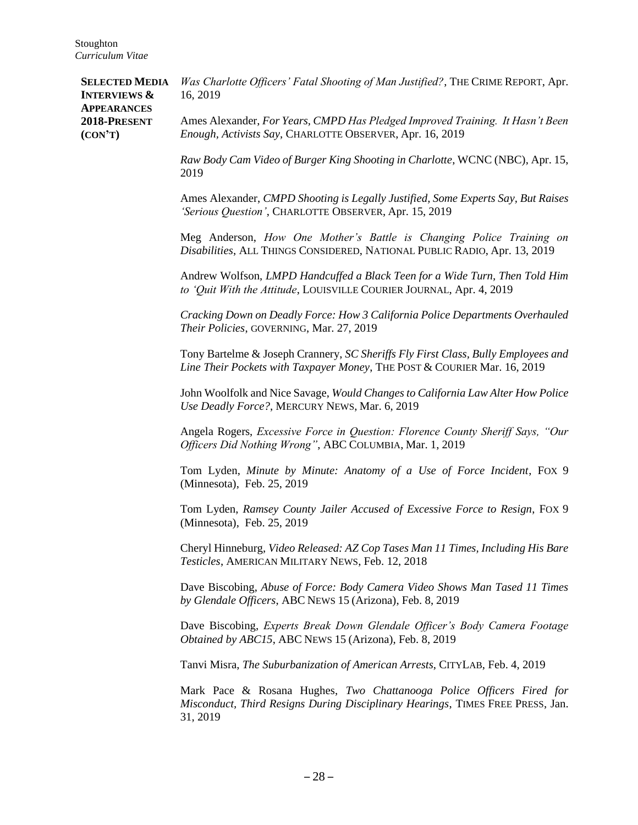| <b>SELECTED MEDIA</b><br><b>INTERVIEWS &amp;</b><br><b>APPEARANCES</b><br>2018-PRESENT<br>(CON'T) | Was Charlotte Officers' Fatal Shooting of Man Justified?, THE CRIME REPORT, Apr.<br>16, 2019                                                                  |
|---------------------------------------------------------------------------------------------------|---------------------------------------------------------------------------------------------------------------------------------------------------------------|
|                                                                                                   | Ames Alexander, For Years, CMPD Has Pledged Improved Training. It Hasn't Been<br>Enough, Activists Say, CHARLOTTE OBSERVER, Apr. 16, 2019                     |
|                                                                                                   | Raw Body Cam Video of Burger King Shooting in Charlotte, WCNC (NBC), Apr. 15,<br>2019                                                                         |
|                                                                                                   | Ames Alexander, CMPD Shooting is Legally Justified, Some Experts Say, But Raises<br>'Serious Question', CHARLOTTE OBSERVER, Apr. 15, 2019                     |
|                                                                                                   | Meg Anderson, How One Mother's Battle is Changing Police Training on<br>Disabilities, ALL THINGS CONSIDERED, NATIONAL PUBLIC RADIO, Apr. 13, 2019             |
|                                                                                                   | Andrew Wolfson, LMPD Handcuffed a Black Teen for a Wide Turn, Then Told Him<br>to 'Quit With the Attitude, LOUISVILLE COURIER JOURNAL, Apr. 4, 2019           |
|                                                                                                   | Cracking Down on Deadly Force: How 3 California Police Departments Overhauled<br>Their Policies, GOVERNING, Mar. 27, 2019                                     |
|                                                                                                   | Tony Bartelme & Joseph Crannery, SC Sheriffs Fly First Class, Bully Employees and<br>Line Their Pockets with Taxpayer Money, THE POST & COURIER Mar. 16, 2019 |
|                                                                                                   | John Woolfolk and Nice Savage, Would Changes to California Law Alter How Police<br>Use Deadly Force?, MERCURY NEWS, Mar. 6, 2019                              |
|                                                                                                   | Angela Rogers, Excessive Force in Question: Florence County Sheriff Says, "Our<br>Officers Did Nothing Wrong", ABC COLUMBIA, Mar. 1, 2019                     |
|                                                                                                   | Tom Lyden, Minute by Minute: Anatomy of a Use of Force Incident, FOX 9<br>(Minnesota), Feb. 25, 2019                                                          |
|                                                                                                   | Tom Lyden, Ramsey County Jailer Accused of Excessive Force to Resign, FOX 9<br>(Minnesota), Feb. 25, 2019                                                     |
|                                                                                                   | Cheryl Hinneburg, Video Released: AZ Cop Tases Man 11 Times, Including His Bare<br>Testicles, AMERICAN MILITARY NEWS, Feb. 12, 2018                           |
|                                                                                                   | Dave Biscobing, Abuse of Force: Body Camera Video Shows Man Tased 11 Times<br>by Glendale Officers, ABC NEWS 15 (Arizona), Feb. 8, 2019                       |
|                                                                                                   | Dave Biscobing, Experts Break Down Glendale Officer's Body Camera Footage<br>Obtained by ABC15, ABC NEWS 15 (Arizona), Feb. 8, 2019                           |
|                                                                                                   | Tanvi Misra, The Suburbanization of American Arrests, CITYLAB, Feb. 4, 2019                                                                                   |

Mark Pace & Rosana Hughes, *Two Chattanooga Police Officers Fired for Misconduct, Third Resigns During Disciplinary Hearings*, TIMES FREE PRESS, Jan. 31, 2019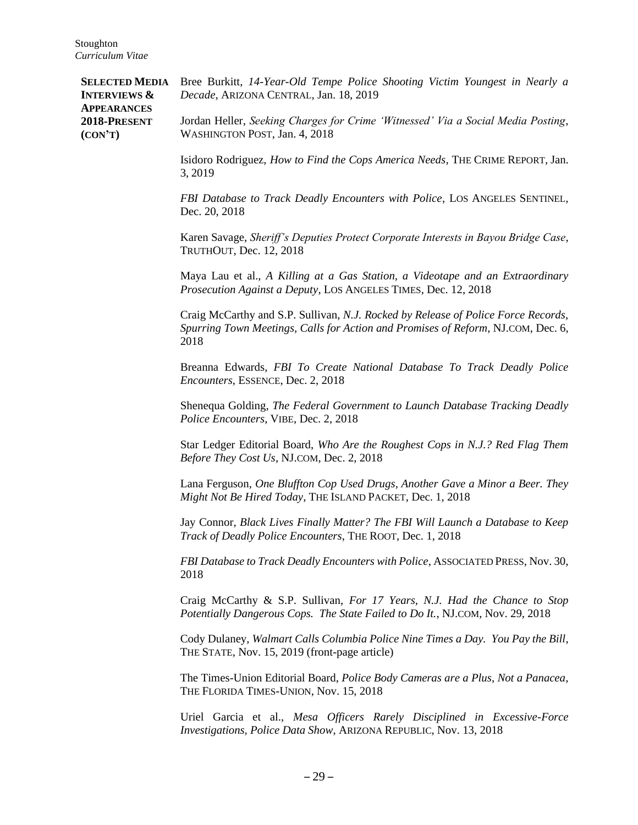**SELECTED MEDIA INTERVIEWS & APPEARANCES 2018-PRESENT (CON'T)** Bree Burkitt, *14-Year-Old Tempe Police Shooting Victim Youngest in Nearly a Decade*, ARIZONA CENTRAL, Jan. 18, 2019 Jordan Heller, *Seeking Charges for Crime 'Witnessed' Via a Social Media Posting*, WASHINGTON POST, Jan. 4, 2018 Isidoro Rodriguez, *How to Find the Cops America Needs*, THE CRIME REPORT*,* Jan. 3, 2019 *FBI Database to Track Deadly Encounters with Police*, LOS ANGELES SENTINEL*,* Dec. 20, 2018 Karen Savage, *Sheriff's Deputies Protect Corporate Interests in Bayou Bridge Case*, TRUTHOUT, Dec. 12, 2018 Maya Lau et al., *A Killing at a Gas Station, a Videotape and an Extraordinary Prosecution Against a Deputy*, LOS ANGELES TIMES, Dec. 12, 2018 Craig McCarthy and S.P. Sullivan, *N.J. Rocked by Release of Police Force Records, Spurring Town Meetings, Calls for Action and Promises of Reform*, NJ.COM, Dec. 6, 2018 Breanna Edwards, *FBI To Create National Database To Track Deadly Police Encounters*, ESSENCE, Dec. 2, 2018 Shenequa Golding, *The Federal Government to Launch Database Tracking Deadly Police Encounters*, VIBE, Dec. 2, 2018 Star Ledger Editorial Board, *Who Are the Roughest Cops in N.J.? Red Flag Them Before They Cost Us*, NJ.COM, Dec. 2, 2018 Lana Ferguson, *One Bluffton Cop Used Drugs, Another Gave a Minor a Beer. They Might Not Be Hired Today*, THE ISLAND PACKET, Dec. 1, 2018 Jay Connor, *Black Lives Finally Matter? The FBI Will Launch a Database to Keep Track of Deadly Police Encounters*, THE ROOT, Dec. 1, 2018 *FBI Database to Track Deadly Encounters with Police*, ASSOCIATED PRESS, Nov. 30, 2018 Craig McCarthy & S.P. Sullivan, *For 17 Years, N.J. Had the Chance to Stop Potentially Dangerous Cops. The State Failed to Do It.*, NJ.COM, Nov. 29, 2018 Cody Dulaney, *Walmart Calls Columbia Police Nine Times a Day. You Pay the Bill*, THE STATE, Nov. 15, 2019 (front-page article) The Times-Union Editorial Board, *Police Body Cameras are a Plus, Not a Panacea*, THE FLORIDA TIMES-UNION, Nov. 15, 2018 Uriel Garcia et al., *Mesa Officers Rarely Disciplined in Excessive-Force Investigations, Police Data Show*, ARIZONA REPUBLIC, Nov. 13, 2018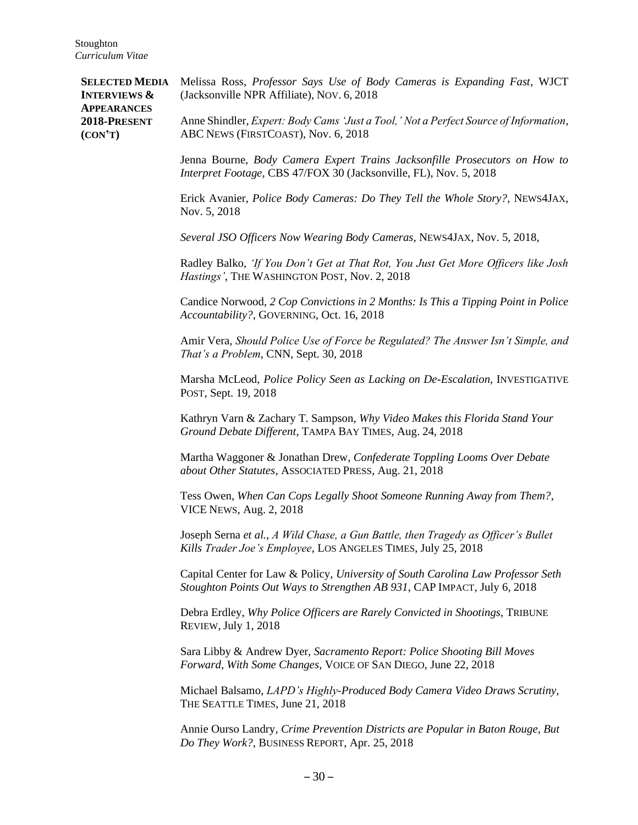**SELECTED MEDIA INTERVIEWS & APPEARANCES 2018-PRESENT (CON'T)** Melissa Ross, *Professor Says Use of Body Cameras is Expanding Fast*, WJCT (Jacksonville NPR Affiliate), NOV. 6, 2018 Anne Shindler, *Expert: Body Cams 'Just a Tool,' Not a Perfect Source of Information*, ABC NEWS (FIRSTCOAST), Nov. 6, 2018 Jenna Bourne, *Body Camera Expert Trains Jacksonfille Prosecutors on How to Interpret Footage*, CBS 47/FOX 30 (Jacksonville, FL), Nov. 5, 2018 Erick Avanier, *Police Body Cameras: Do They Tell the Whole Story?*, NEWS4JAX, Nov. 5, 2018 *Several JSO Officers Now Wearing Body Cameras*, NEWS4JAX, Nov. 5, 2018, Radley Balko, *'If You Don't Get at That Rot, You Just Get More Officers like Josh Hastings'*, THE WASHINGTON POST, Nov. 2, 2018 Candice Norwood, *2 Cop Convictions in 2 Months: Is This a Tipping Point in Police Accountability?*, GOVERNING, Oct. 16, 2018 Amir Vera, *Should Police Use of Force be Regulated? The Answer Isn't Simple, and That's a Problem*, CNN, Sept. 30, 2018 Marsha McLeod, *Police Policy Seen as Lacking on De-Escalation*, INVESTIGATIVE POST, Sept. 19, 2018 Kathryn Varn & Zachary T. Sampson, *Why Video Makes this Florida Stand Your Ground Debate Different*, TAMPA BAY TIMES, Aug. 24, 2018 Martha Waggoner & Jonathan Drew, *Confederate Toppling Looms Over Debate about Other Statutes*, ASSOCIATED PRESS, Aug. 21, 2018 Tess Owen, *When Can Cops Legally Shoot Someone Running Away from Them?*, VICE NEWS, Aug. 2, 2018 Joseph Serna *et al.*, *A Wild Chase, a Gun Battle, then Tragedy as Officer's Bullet Kills Trader Joe's Employee*, LOS ANGELES TIMES, July 25, 2018 Capital Center for Law & Policy, *University of South Carolina Law Professor Seth Stoughton Points Out Ways to Strengthen AB 931*, CAP IMPACT, July 6, 2018 Debra Erdley, *Why Police Officers are Rarely Convicted in Shootings*, TRIBUNE REVIEW, July 1, 2018 Sara Libby & Andrew Dyer, *Sacramento Report: Police Shooting Bill Moves Forward, With Some Changes*, VOICE OF SAN DIEGO, June 22, 2018 Michael Balsamo, *LAPD's Highly-Produced Body Camera Video Draws Scrutiny*, THE SEATTLE TIMES, June 21, 2018 Annie Ourso Landry*, Crime Prevention Districts are Popular in Baton Rouge, But Do They Work?*, BUSINESS REPORT, Apr. 25, 2018